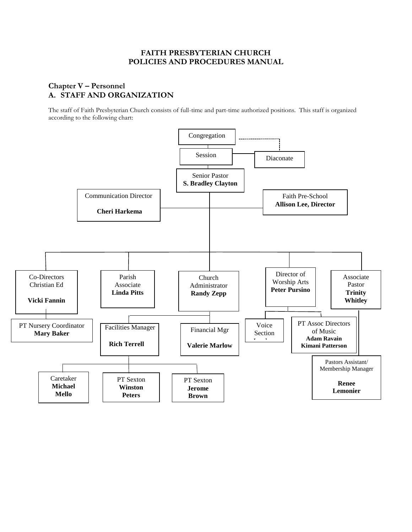# **FAITH PRESBYTERIAN CHURCH POLICIES AND PROCEDURES MANUAL**

# **Chapter V – Personnel A. STAFF AND ORGANIZATION**

The staff of Faith Presbyterian Church consists of full-time and part-time authorized positions. This staff is organized according to the following chart:

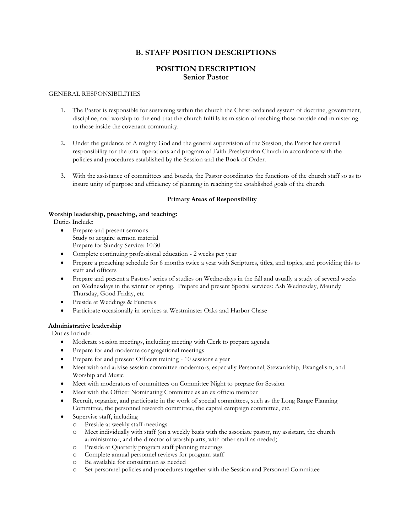# **B. STAFF POSITION DESCRIPTIONS**

### **POSITION DESCRIPTION Senior Pastor**

#### GENERAL RESPONSIBILITIES

- 1. The Pastor is responsible for sustaining within the church the Christ-ordained system of doctrine, government, discipline, and worship to the end that the church fulfills its mission of reaching those outside and ministering to those inside the covenant community.
- 2. Under the guidance of Almighty God and the general supervision of the Session, the Pastor has overall responsibility for the total operations and program of Faith Presbyterian Church in accordance with the policies and procedures established by the Session and the Book of Order.
- 3. With the assistance of committees and boards, the Pastor coordinates the functions of the church staff so as to insure unity of purpose and efficiency of planning in reaching the established goals of the church.

#### **Primary Areas of Responsibility**

### **Worship leadership, preaching, and teaching:**

Duties Include:

- Prepare and present sermons Study to acquire sermon material Prepare for Sunday Service: 10:30
- Complete continuing professional education 2 weeks per year
- Prepare a preaching schedule for 6 months twice a year with Scriptures, titles, and topics, and providing this to staff and officers
- Prepare and present a Pastors' series of studies on Wednesdays in the fall and usually a study of several weeks on Wednesdays in the winter or spring. Prepare and present Special services: Ash Wednesday, Maundy Thursday, Good Friday, etc
- Preside at Weddings & Funerals
- Participate occasionally in services at Westminster Oaks and Harbor Chase

### **Administrative leadership**

Duties Include:

- Moderate session meetings, including meeting with Clerk to prepare agenda.
- Prepare for and moderate congregational meetings
- Prepare for and present Officers training 10 sessions a year
- Meet with and advise session committee moderators, especially Personnel, Stewardship, Evangelism, and Worship and Music
- Meet with moderators of committees on Committee Night to prepare for Session
- Meet with the Officer Nominating Committee as an ex officio member
- Recruit, organize, and participate in the work of special committees, such as the Long Range Planning Committee, the personnel research committee, the capital campaign committee, etc.
- Supervise staff, including
	- o Preside at weekly staff meetings
	- o Meet individually with staff (on a weekly basis with the associate pastor, my assistant, the church administrator, and the director of worship arts, with other staff as needed)
	- o Preside at Quarterly program staff planning meetings
	- o Complete annual personnel reviews for program staff
	- o Be available for consultation as needed
	- o Set personnel policies and procedures together with the Session and Personnel Committee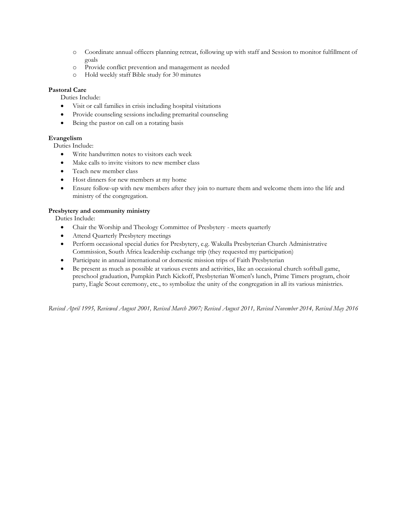- o Coordinate annual officers planning retreat, following up with staff and Session to monitor fulfillment of goals
- o Provide conflict prevention and management as needed
- o Hold weekly staff Bible study for 30 minutes

### **Pastoral Care**

Duties Include:

- Visit or call families in crisis including hospital visitations
- Provide counseling sessions including premarital counseling
- Being the pastor on call on a rotating basis

### **Evangelism**

Duties Include:

- Write handwritten notes to visitors each week
- Make calls to invite visitors to new member class
- Teach new member class
- Host dinners for new members at my home
- Ensure follow-up with new members after they join to nurture them and welcome them into the life and ministry of the congregation.

### **Presbytery and community ministry**

Duties Include:

- Chair the Worship and Theology Committee of Presbytery meets quarterly
- Attend Quarterly Presbytery meetings
- Perform occasional special duties for Presbytery, e.g. Wakulla Presbyterian Church Administrative Commission, South Africa leadership exchange trip (they requested my participation)
- Participate in annual international or domestic mission trips of Faith Presbyterian
- Be present as much as possible at various events and activities, like an occasional church softball game, preschool graduation, Pumpkin Patch Kickoff, Presbyterian Women's lunch, Prime Timers program, choir party, Eagle Scout ceremony, etc., to symbolize the unity of the congregation in all its various ministries.

*Revised April 1995, Reviewed August 2001, Revised March 2007; Revised August 2011, Revised November 2014, Revised May 2016*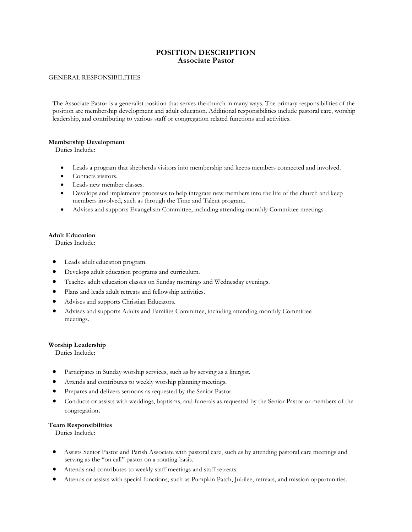### **POSITION DESCRIPTION Associate Pastor**

### GENERAL RESPONSIBILITIES

The Associate Pastor is a generalist position that serves the church in many ways. The primary responsibilities of the position are membership development and adult education. Additional responsibilities include pastoral care, worship leadership, and contributing to various staff or congregation related functions and activities.

### **Membership Development**

Duties Include:

- Leads a program that shepherds visitors into membership and keeps members connected and involved.
- Contacts visitors.
- Leads new member classes.
- Develops and implements processes to help integrate new members into the life of the church and keep members involved, such as through the Time and Talent program.
- Advises and supports Evangelism Committee, including attending monthly Committee meetings.

#### **Adult Education**

Duties Include:

- Leads adult education program.
- Develops adult education programs and curriculum.
- Teaches adult education classes on Sunday mornings and Wednesday evenings.
- Plans and leads adult retreats and fellowship activities.
- Advises and supports Christian Educators.
- Advises and supports Adults and Families Committee, including attending monthly Committee meetings.

#### **Worship Leadership**

Duties Include**:**

- Participates in Sunday worship services, such as by serving as a liturgist.
- Attends and contributes to weekly worship planning meetings.
- Prepares and delivers sermons as requested by the Senior Pastor.
- Conducts or assists with weddings, baptisms, and funerals as requested by the Senior Pastor or members of the congregation.

#### **Team Responsibilities**

Duties Include:

- Assists Senior Pastor and Parish Associate with pastoral care, such as by attending pastoral care meetings and serving as the "on call" pastor on a rotating basis.
- Attends and contributes to weekly staff meetings and staff retreats.
- Attends or assists with special functions, such as Pumpkin Patch, Jubilee, retreats, and mission opportunities.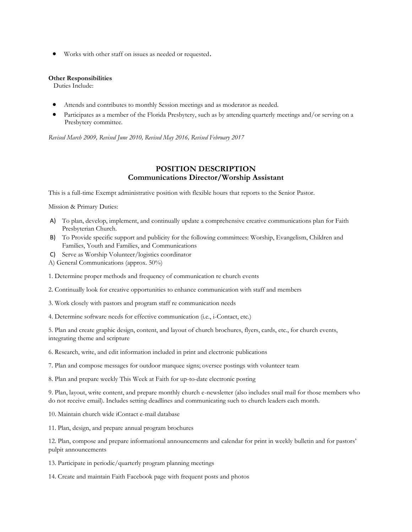Works with other staff on issues as needed or requested.

#### **Other Responsibilities**

Duties Include:

- Attends and contributes to monthly Session meetings and as moderator as needed.
- Participates as a member of the Florida Presbytery, such as by attending quarterly meetings and/or serving on a Presbytery committee.

*Revised March 2009, Revised June 2010, Revised May 2016, Revised February 2017*

### **POSITION DESCRIPTION Communications Director/Worship Assistant**

This is a full-time Exempt administrative position with flexible hours that reports to the Senior Pastor.

Mission & Primary Duties:

- A) To plan, develop, implement, and continually update a comprehensive creative communications plan for Faith Presbyterian Church.
- B) To Provide specific support and publicity for the following committees: Worship, Evangelism, Children and Families, Youth and Families, and Communications
- C) Serve as Worship Volunteer/logistics coordinator
- A) General Communications (approx. 50%)
- 1. Determine proper methods and frequency of communication re church events
- 2. Continually look for creative opportunities to enhance communication with staff and members
- 3. Work closely with pastors and program staff re communication needs
- 4. Determine software needs for effective communication (i.e., i-Contact, etc.)

5. Plan and create graphic design, content, and layout of church brochures, flyers, cards, etc., for church events, integrating theme and scripture

- 6. Research, write, and edit information included in print and electronic publications
- 7. Plan and compose messages for outdoor marquee signs; oversee postings with volunteer team

8. Plan and prepare weekly This Week at Faith for up-to-date electronic posting

9. Plan, layout, write content, and prepare monthly church e-newsletter (also includes snail mail for those members who do not receive email). Includes setting deadlines and communicating such to church leaders each month.

10. Maintain church wide iContact e-mail database

11. Plan, design, and prepare annual program brochures

12. Plan, compose and prepare informational announcements and calendar for print in weekly bulletin and for pastors' pulpit announcements

13. Participate in periodic/quarterly program planning meetings

14. Create and maintain Faith Facebook page with frequent posts and photos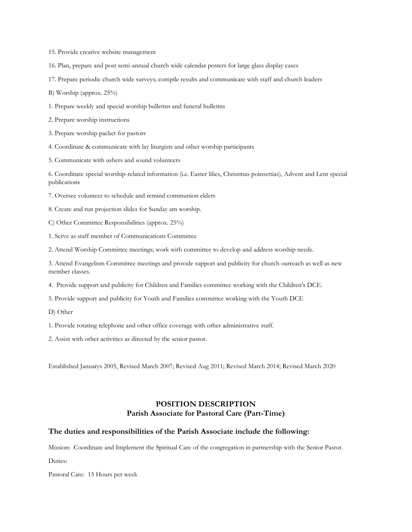15. Provide creative website management

16. Plan, prepare and post semi-annual church wide calendar posters for large glass display cases

17. Prepare periodic church wide surveys; compile results and communicate with staff and church leaders

B) Worship (approx. 25%)

1. Prepare weekly and special worship bulletins and funeral bulletins

2. Prepare worship instructions

3. Prepare worship packet for pastors

4. Coordinate & communicate with lay liturgists and other worship participants

5. Communicate with ushers and sound volunteers

6. Coordinate special worship-related information (i.e. Easter lilies, Christmas poinsettias), Advent and Lent special publications

7. Oversee volunteer to schedule and remind communion elders

8. Create and run projection slides for Sunday am worship.

C) Other Committee Responsibilities (approx. 25%)

1. Serve as staff member of Communications Committee

2. Attend Worship Committee meetings; work with committee to develop and address worship needs.

3. Attend Evangelism Committee meetings and provide support and publicity for church outreach as well as new member classes.

4. Provide support and publicity for Children and Families committee working with the Children's DCE.

5. Provide support and publicity for Youth and Families committee working with the Youth DCE

D) Other

1. Provide rotating telephone and other office coverage with other administrative staff.

2. Assist with other activities as directed by the senior pastor.

Established Januarys 2005, Revised March 2007; Revised Aug 2011; Revised March 2014; Revised March 2020

# **POSITION DESCRIPTION Parish Associate for Pastoral Care (Part-Time)**

### **The duties and responsibilities of the Parish Associate include the following:**

Mission: Coordinate and Implement the Spiritual Care of the congregation in partnership with the Senior Pastor.

Duties:

Pastoral Care: 15 Hours per week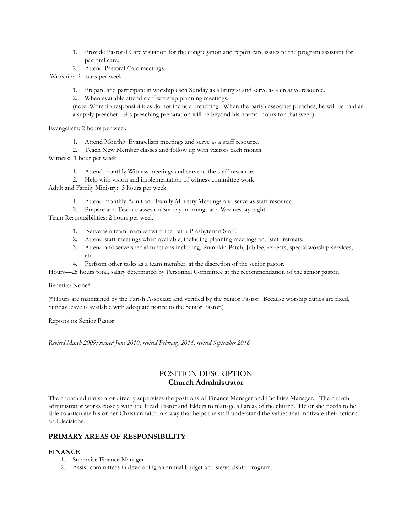- 1. Provide Pastoral Care visitation for the congregation and report care issues to the program assistant for pastoral care.
- 2. Attend Pastoral Care meetings.

Worship: 2 hours per week

1. Prepare and participate in worship each Sunday as a liturgist and serve as a creative resource.

2. When available attend staff worship planning meetings.

(note: Worship responsibilities do not include preaching. When the parish associate preaches, he will be paid as a supply preacher. His preaching preparation will be beyond his normal hours for that week)

Evangelism: 2 hours per week

- 1. Attend Monthly Evangelism meetings and serve as a staff resource.
- 2. Teach New Member classes and follow up with visitors each month.

Witness: 1 hour per week

- 1. Attend monthly Witness meetings and serve at the staff resource.
- 2. Help with vision and implementation of witness committee work

Adult and Family Ministry: 3 hours per week

1. Attend monthly Adult and Family Ministry Meetings and serve as staff resource.

2. Prepare and Teach classes on Sunday mornings and Wednesday night.

Team Responsibilities: 2 hours per week

- 1. Serve as a team member with the Faith Presbyterian Staff.
- 2. Attend staff meetings when available, including planning meetings and staff retreats.
- 3. Attend and serve special functions including, Pumpkin Patch, Jubilee, retreats, special worship services, etc.
- 4. Perform other tasks as a team member, at the discretion of the senior pastor.

Hours—25 hours total, salary determined by Personnel Committee at the recommendation of the senior pastor.

Benefits: None\*

(\*Hours are maintained by the Parish Associate and verified by the Senior Pastor. Because worship duties are fixed, Sunday leave is available with adequate notice to the Senior Pastor.)

Reports to: Senior Pastor

*Revised March 2009; revised June 2010, revised February 2016, revised September 2016*

## POSITION DESCRIPTION **Church Administrator**

The church administrator directly supervises the positions of Finance Manager and Facilities Manager. The church administrator works closely with the Head Pastor and Elders to manage all areas of the church. He or she needs to be able to articulate his or her Christian faith in a way that helps the staff understand the values that motivate their actions and decisions.

### **PRIMARY AREAS OF RESPONSIBILITY**

#### **FINANCE**

- 1. Supervise Finance Manager.
- 2. Assist committees in developing an annual budget and stewardship program.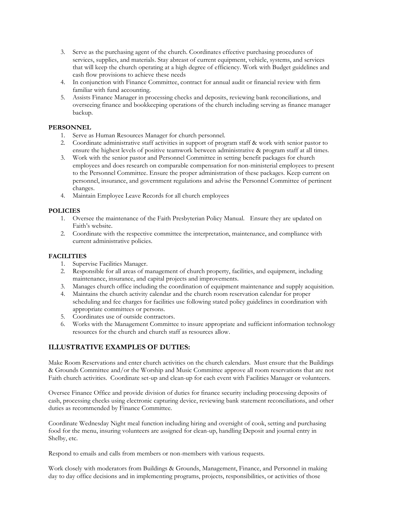- 3. Serve as the purchasing agent of the church. Coordinates effective purchasing procedures of services, supplies, and materials. Stay abreast of current equipment, vehicle, systems, and services that will keep the church operating at a high degree of efficiency. Work with Budget guidelines and cash flow provisions to achieve these needs
- 4. In conjunction with Finance Committee, contract for annual audit or financial review with firm familiar with fund accounting.
- 5. Assists Finance Manager in processing checks and deposits, reviewing bank reconciliations, and overseeing finance and bookkeeping operations of the church including serving as finance manager backup.

### **PERSONNEL**

- 1. Serve as Human Resources Manager for church personnel.
- 2. Coordinate administrative staff activities in support of program staff & work with senior pastor to ensure the highest levels of positive teamwork between administrative & program staff at all times.
- 3. Work with the senior pastor and Personnel Committee in setting benefit packages for church employees and does research on comparable compensation for non-ministerial employees to present to the Personnel Committee. Ensure the proper administration of these packages. Keep current on personnel, insurance, and government regulations and advise the Personnel Committee of pertinent changes.
- 4. Maintain Employee Leave Records for all church employees

### **POLICIES**

- 1. Oversee the maintenance of the Faith Presbyterian Policy Manual. Ensure they are updated on Faith's website.
- 2. Coordinate with the respective committee the interpretation, maintenance, and compliance with current administrative policies.

### **FACILITIES**

- 1. Supervise Facilities Manager.
- 2. Responsible for all areas of management of church property, facilities, and equipment, including maintenance, insurance, and capital projects and improvements.
- 3. Manages church office including the coordination of equipment maintenance and supply acquisition.
- 4. Maintains the church activity calendar and the church room reservation calendar for proper scheduling and fee charges for facilities use following stated policy guidelines in coordination with appropriate committees or persons.
- 5. Coordinates use of outside contractors.
- 6. Works with the Management Committee to insure appropriate and sufficient information technology resources for the church and church staff as resources allow.

### **ILLUSTRATIVE EXAMPLES OF DUTIES:**

Make Room Reservations and enter church activities on the church calendars. Must ensure that the Buildings & Grounds Committee and/or the Worship and Music Committee approve all room reservations that are not Faith church activities. Coordinate set-up and clean-up for each event with Facilities Manager or volunteers.

Oversee Finance Office and provide division of duties for finance security including processing deposits of cash, processing checks using electronic capturing device, reviewing bank statement reconciliations, and other duties as recommended by Finance Committee.

Coordinate Wednesday Night meal function including hiring and oversight of cook, setting and purchasing food for the menu, insuring volunteers are assigned for clean-up, handling Deposit and journal entry in Shelby, etc.

Respond to emails and calls from members or non-members with various requests.

Work closely with moderators from Buildings & Grounds, Management, Finance, and Personnel in making day to day office decisions and in implementing programs, projects, responsibilities, or activities of those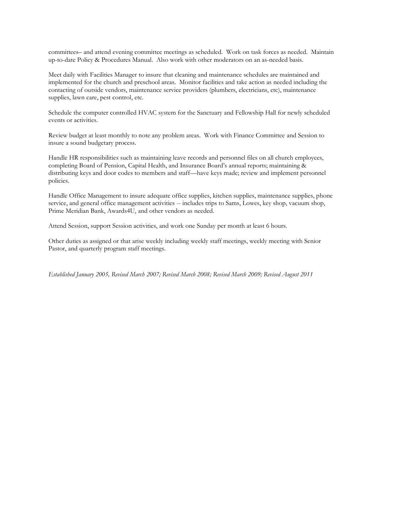committees– and attend evening committee meetings as scheduled. Work on task forces as needed. Maintain up-to-date Policy & Procedures Manual. Also work with other moderators on an as-needed basis.

Meet daily with Facilities Manager to insure that cleaning and maintenance schedules are maintained and implemented for the church and preschool areas. Monitor facilities and take action as needed including the contacting of outside vendors, maintenance service providers (plumbers, electricians, etc), maintenance supplies, lawn care, pest control, etc.

Schedule the computer controlled HVAC system for the Sanctuary and Fellowship Hall for newly scheduled events or activities.

Review budget at least monthly to note any problem areas. Work with Finance Committee and Session to insure a sound budgetary process.

Handle HR responsibilities such as maintaining leave records and personnel files on all church employees, completing Board of Pension, Capital Health, and Insurance Board's annual reports; maintaining & distributing keys and door codes to members and staff—have keys made; review and implement personnel policies.

Handle Office Management to insure adequate office supplies, kitchen supplies, maintenance supplies, phone service, and general office management activities -- includes trips to Sams, Lowes, key shop, vacuum shop, Prime Meridian Bank, Awards4U, and other vendors as needed.

Attend Session, support Session activities, and work one Sunday per month at least 6 hours.

Other duties as assigned or that arise weekly including weekly staff meetings, weekly meeting with Senior Pastor, and quarterly program staff meetings.

*Established January 2005, Revised March 2007; Revised March 2008; Revised March 2009; Revised August 2011*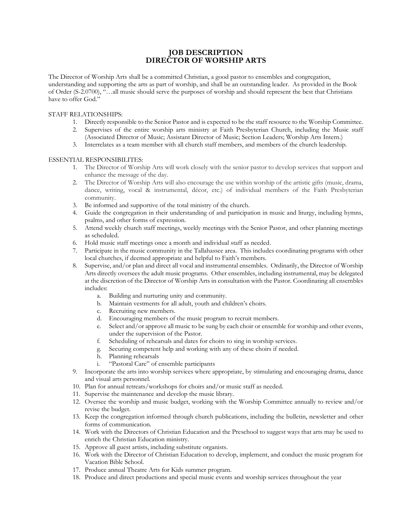## **JOB DESCRIPTION DIRECTOR OF WORSHIP ARTS**

The Director of Worship Arts shall be a committed Christian, a good pastor to ensembles and congregation, understanding and supporting the arts as part of worship, and shall be an outstanding leader. As provided in the Book of Order (S-2.0700), "…all music should serve the purposes of worship and should represent the best that Christians have to offer God."

### STAFF RELATIONSHIPS:

- 1. Directly responsible to the Senior Pastor and is expected to be the staff resource to the Worship Committee.
- 2. Supervises of the entire worship arts ministry at Faith Presbyterian Church, including the Music staff (Associated Director of Music; Assistant Director of Music; Section Leaders; Worship Arts Intern.)
- 3. Interrelates as a team member with all church staff members, and members of the church leadership.

### ESSENTIAL RESPONSIBILITES:

- 1. The Director of Worship Arts will work closely with the senior pastor to develop services that support and enhance the message of the day.
- 2. The Director of Worship Arts will also encourage the use within worship of the artistic gifts (music, drama, dance, writing, vocal & instrumental, décor, etc.) of individual members of the Faith Presbyterian community.
- 3. Be informed and supportive of the total ministry of the church.
- 4. Guide the congregation in their understanding of and participation in music and liturgy, including hymns, psalms, and other forms of expression.
- 5. Attend weekly church staff meetings, weekly meetings with the Senior Pastor, and other planning meetings as scheduled.
- 6. Hold music staff meetings once a month and individual staff as needed.
- 7. Participate in the music community in the Tallahassee area. This includes coordinating programs with other local churches, if deemed appropriate and helpful to Faith's members.
- 8. Supervise, and/or plan and direct all vocal and instrumental ensembles. Ordinarily, the Director of Worship Arts directly oversees the adult music programs. Other ensembles, including instrumental, may be delegated at the discretion of the Director of Worship Arts in consultation with the Pastor. Coordinating all ensembles includes:
	- a. Building and nurturing unity and community.
	- b. Maintain vestments for all adult, youth and children's choirs.
	- c. Recruiting new members.
	- d. Encouraging members of the music program to recruit members.
	- e. Select and/or approve all music to be sung by each choir or ensemble for worship and other events, under the supervision of the Pastor.
	- f. Scheduling of rehearsals and dates for choirs to sing in worship services.
	- g. Securing competent help and working with any of these choirs if needed.
	- h. Planning rehearsals
	- i. "Pastoral Care" of ensemble participants
- 9. Incorporate the arts into worship services where appropriate, by stimulating and encouraging drama, dance and visual arts personnel.
- 10. Plan for annual retreats/workshops for choirs and/or music staff as needed.
- 11. Supervise the maintenance and develop the music library.
- 12. Oversee the worship and music budget, working with the Worship Committee annually to review and/or revise the budget.
- 13. Keep the congregation informed through church publications, including the bulletin, newsletter and other forms of communication.
- 14. Work with the Directors of Christian Education and the Preschool to suggest ways that arts may be used to enrich the Christian Education ministry.
- 15. Approve all guest artists, including substitute organists.
- 16. Work with the Director of Christian Education to develop, implement, and conduct the music program for Vacation Bible School.
- 17. Produce annual Theatre Arts for Kids summer program.
- 18. Produce and direct productions and special music events and worship services throughout the year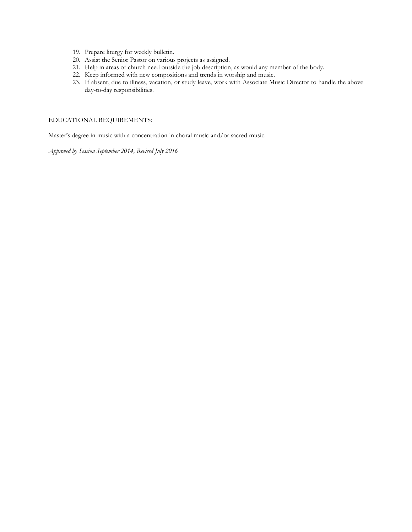- 19. Prepare liturgy for weekly bulletin.
- 20. Assist the Senior Pastor on various projects as assigned.
- 21. Help in areas of church need outside the job description, as would any member of the body.
- 22. Keep informed with new compositions and trends in worship and music.
- 23. If absent, due to illness, vacation, or study leave, work with Associate Music Director to handle the above day-to-day responsibilities.

### EDUCATIONAL REQUIREMENTS:

Master's degree in music with a concentration in choral music and/or sacred music.

*Approved by Session September 2014, Revised July 2016*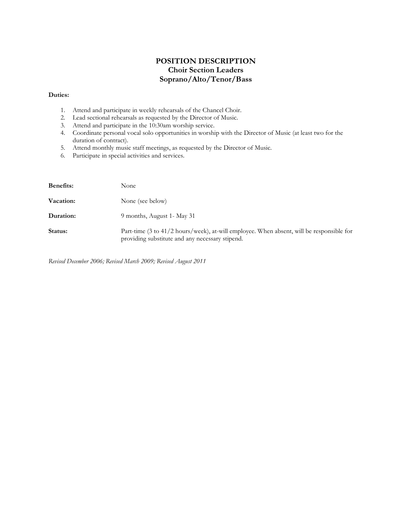# **POSITION DESCRIPTION Choir Section Leaders Soprano/Alto/Tenor/Bass**

### **Duties:**

- 1. Attend and participate in weekly rehearsals of the Chancel Choir.
- 2. Lead sectional rehearsals as requested by the Director of Music.
- 3. Attend and participate in the 10:30am worship service.
- 4. Coordinate personal vocal solo opportunities in worship with the Director of Music (at least two for the duration of contract).
- 5. Attend monthly music staff meetings, as requested by the Director of Music.
- 6. Participate in special activities and services.

| <b>Benefits:</b> | None                                                                                                                                        |
|------------------|---------------------------------------------------------------------------------------------------------------------------------------------|
| Vacation:        | None (see below)                                                                                                                            |
| Duration:        | 9 months, August 1 - May 31                                                                                                                 |
| Status:          | Part-time (3 to 41/2 hours/week), at-will employee. When absent, will be responsible for<br>providing substitute and any necessary stipend. |

*Revised December 2006; Revised March 2009; Revised August 2011*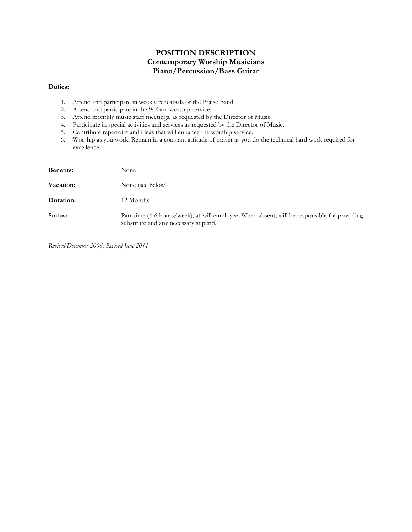# **POSITION DESCRIPTION Contemporary Worship Musicians Piano/Percussion/Bass Guitar**

### **Duties:**

- 1. Attend and participate in weekly rehearsals of the Praise Band.
- 2. Attend and participate in the 9:00am worship service.
- 3. Attend monthly music staff meetings, as requested by the Director of Music.
- 4. Participate in special activities and services as requested by the Director of Music.
- 5. Contribute repertoire and ideas that will enhance the worship service.
- 6. Worship as you work. Remain in a constant attitude of prayer as you do the technical hard work required for excellence.

| <b>Benefits:</b> | None                                                                                                                                  |
|------------------|---------------------------------------------------------------------------------------------------------------------------------------|
| Vacation:        | None (see below)                                                                                                                      |
| Duration:        | 12 Months                                                                                                                             |
| Status:          | Part-time (4-6 hours/week), at-will employee. When absent, will be responsible for providing<br>substitute and any necessary stipend. |

*Revised December 2006; Revised June 2011*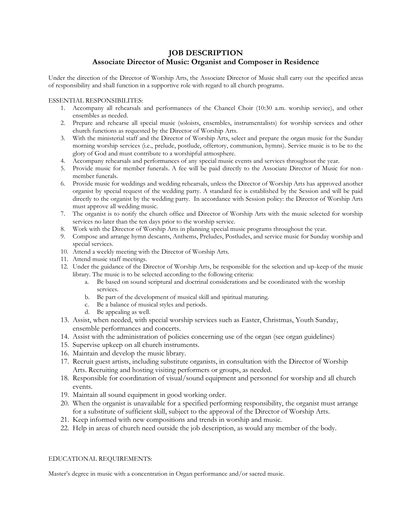# **JOB DESCRIPTION Associate Director of Music: Organist and Composer in Residence**

Under the direction of the Director of Worship Arts, the Associate Director of Music shall carry out the specified areas of responsibility and shall function in a supportive role with regard to all church programs.

### ESSENTIAL RESPONSIBILITES:

- 1. Accompany all rehearsals and performances of the Chancel Choir (10:30 a.m. worship service), and other ensembles as needed.
- 2. Prepare and rehearse all special music (soloists, ensembles, instrumentalists) for worship services and other church functions as requested by the Director of Worship Arts.
- 3. With the ministerial staff and the Director of Worship Arts, select and prepare the organ music for the Sunday morning worship services (i.e., prelude, postlude, offertory, communion, hymns). Service music is to be to the glory of God and must contribute to a worshipful atmosphere.
- 4. Accompany rehearsals and performances of any special music events and services throughout the year.
- 5. Provide music for member funerals. A fee will be paid directly to the Associate Director of Music for nonmember funerals.
- 6. Provide music for weddings and wedding rehearsals, unless the Director of Worship Arts has approved another organist by special request of the wedding party. A standard fee is established by the Session and will be paid directly to the organist by the wedding party. In accordance with Session policy: the Director of Worship Arts must approve all wedding music.
- 7. The organist is to notify the church office and Director of Worship Arts with the music selected for worship services no later than the ten days prior to the worship service.
- 8. Work with the Director of Worship Arts in planning special music programs throughout the year.
- 9. Compose and arrange hymn descants, Anthems, Preludes, Postludes, and service music for Sunday worship and special services.
- 10. Attend a weekly meeting with the Director of Worship Arts.
- 11. Attend music staff meetings.
- 12. Under the guidance of the Director of Worship Arts, be responsible for the selection and up-keep of the music library. The music is to be selected according to the following criteria:
	- a. Be based on sound scriptural and doctrinal considerations and be coordinated with the worship services.
	- b. Be part of the development of musical skill and spiritual maturing.
	- c. Be a balance of musical styles and periods.
	- d. Be appealing as well.
- 13. Assist, when needed, with special worship services such as Easter, Christmas, Youth Sunday, ensemble performances and concerts.
- 14. Assist with the administration of policies concerning use of the organ (see organ guidelines)
- 15. Supervise upkeep on all church instruments.
- 16. Maintain and develop the music library.
- 17. Recruit guest artists, including substitute organists, in consultation with the Director of Worship Arts. Recruiting and hosting visiting performers or groups, as needed.
- 18. Responsible for coordination of visual/sound equipment and personnel for worship and all church events.
- 19. Maintain all sound equipment in good working order.
- 20. When the organist is unavailable for a specified performing responsibility, the organist must arrange for a substitute of sufficient skill, subject to the approval of the Director of Worship Arts.
- 21. Keep informed with new compositions and trends in worship and music.
- 22. Help in areas of church need outside the job description, as would any member of the body.

#### EDUCATIONAL REQUIREMENTS:

Master's degree in music with a concentration in Organ performance and/or sacred music.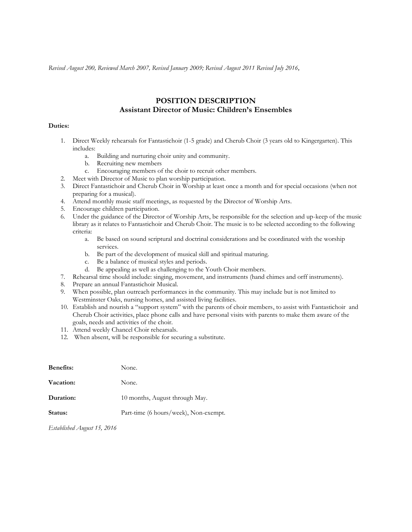*Revised August 200, Reviewed March 2007, Revised January 2009; Revised August 2011 Revised July 2016,*

# **POSITION DESCRIPTION Assistant Director of Music: Children's Ensembles**

#### **Duties:**

- 1. Direct Weekly rehearsals for Fantastichoir (1-5 grade) and Cherub Choir (3 years old to Kingergarten). This includes:
	- a. Building and nurturing choir unity and community.
	- b. Recruiting new members
	- c. Encouraging members of the choir to recruit other members.
- 2. Meet with Director of Music to plan worship participation.
- 3. Direct Fantastichoir and Cherub Choir in Worship at least once a month and for special occasions (when not preparing for a musical).
- 4. Attend monthly music staff meetings, as requested by the Director of Worship Arts.
- 5. Encourage children participation.
- 6. Under the guidance of the Director of Worship Arts, be responsible for the selection and up-keep of the music library as it relates to Fantastichoir and Cherub Choir. The music is to be selected according to the following criteria:
	- a. Be based on sound scriptural and doctrinal considerations and be coordinated with the worship services.
	- b. Be part of the development of musical skill and spiritual maturing.
	- c. Be a balance of musical styles and periods.
	- d. Be appealing as well as challenging to the Youth Choir members.
- 7. Rehearsal time should include: singing, movement, and instruments (hand chimes and orff instruments).
- 8. Prepare an annual Fantastichoir Musical.
- 9. When possible, plan outreach performances in the community. This may include but is not limited to Westminster Oaks, nursing homes, and assisted living facilities.
- 10. Establish and nourish a "support system" with the parents of choir members, to assist with Fantastichoir and Cherub Choir activities, place phone calls and have personal visits with parents to make them aware of the goals, needs and activities of the choir.
- 11. Attend weekly Chancel Choir rehearsals.
- 12. When absent, will be responsible for securing a substitute.

| <b>Benefits:</b> | None.                                 |
|------------------|---------------------------------------|
| Vacation:        | None.                                 |
| Duration:        | 10 months, August through May.        |
| Status:          | Part-time (6 hours/week), Non-exempt. |

*Established August 15, 2016*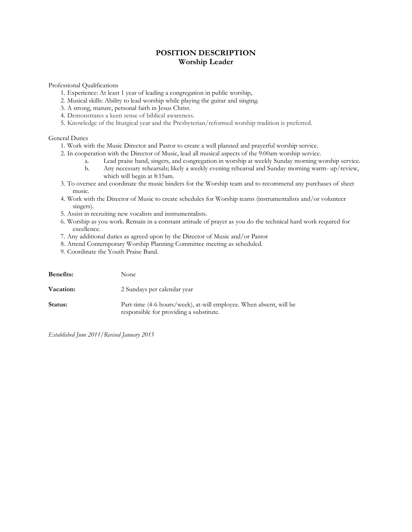# **POSITION DESCRIPTION Worship Leader**

Professional Qualifications

- 1. Experience: At least 1 year of leading a congregation in public worship,
- 2. Musical skills: Ability to lead worship while playing the guitar and singing.
- 3. A strong, mature, personal faith in Jesus Christ.
- 4. Demonstrates a keen sense of biblical awareness.
- 5. Knowledge of the liturgical year and the Presbyterian/reformed worship tradition is preferred.

General Duties

- 1. Work with the Music Director and Pastor to create a well planned and prayerful worship service.
- 2. In cooperation with the Director of Music, lead all musical aspects of the 9:00am worship service.
	- a. Lead praise band, singers, and congregation in worship at weekly Sunday morning worship service.
	- b. Any necessary rehearsals; likely a weekly evening rehearsal and Sunday morning warm- up/review, which will begin at 8:15am.
- 3. To oversee and coordinate the music binders for the Worship team and to recommend any purchases of sheet music.
- 4. Work with the Director of Music to create schedules for Worship teams (instrumentalists and/or volunteer singers).
- 5. Assist in recruiting new vocalists and instrumentalists.
- 6. Worship as you work. Remain in a constant attitude of prayer as you do the technical hard work required for excellence.
- 7. Any additional duties as agreed upon by the Director of Music and/or Pastor
- 8. Attend Contemporary Worship Planning Committee meeting as scheduled.
- 9. Coordinate the Youth Praise Band.

| <b>Benefits:</b> | None                                                                                                          |
|------------------|---------------------------------------------------------------------------------------------------------------|
| Vacation:        | 2 Sundays per calendar year                                                                                   |
| Status:          | Part-time (4-6 hours/week), at-will employee. When absent, will be<br>responsible for providing a substitute. |

*Established June 2011/Revised January 2015*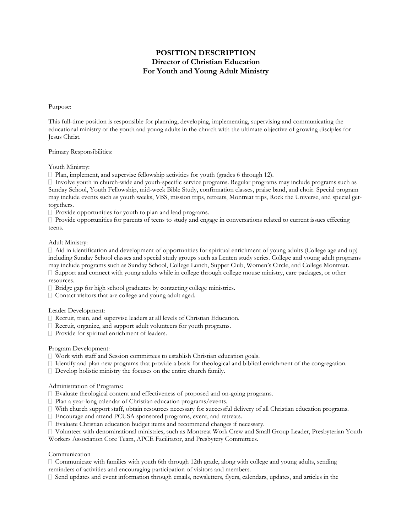# **POSITION DESCRIPTION Director of Christian Education For Youth and Young Adult Ministry**

#### Purpose:

This full-time position is responsible for planning, developing, implementing, supervising and communicating the educational ministry of the youth and young adults in the church with the ultimate objective of growing disciples for Jesus Christ.

### Primary Responsibilities:

Youth Ministry:

 $\Box$  Plan, implement, and supervise fellowship activities for youth (grades 6 through 12).

 $\Box$  Involve youth in church-wide and youth-specific service programs. Regular programs may include programs such as Sunday School, Youth Fellowship, mid-week Bible Study, confirmation classes, praise band, and choir. Special program may include events such as youth weeks, VBS, mission trips, retreats, Montreat trips, Rock the Universe, and special gettogethers.

 $\Box$  Provide opportunities for youth to plan and lead programs.

 $\Box$  Provide opportunities for parents of teens to study and engage in conversations related to current issues effecting teens.

#### Adult Ministry:

 $\Box$  Aid in identification and development of opportunities for spiritual enrichment of young adults (College age and up) including Sunday School classes and special study groups such as Lenten study series. College and young adult programs may include programs such as Sunday School, College Lunch, Supper Club, Women's Circle, and College Montreat.  $\Box$  Support and connect with young adults while in college through college mouse ministry, care packages, or other resources.

- Bridge gap for high school graduates by contacting college ministries.
- Contact visitors that are college and young adult aged.

#### Leader Development:

- Recruit, train, and supervise leaders at all levels of Christian Education.
- Recruit, organize, and support adult volunteers for youth programs.
- □ Provide for spiritual enrichment of leaders.

#### Program Development:

- Work with staff and Session committees to establish Christian education goals.
- $\Box$  Identify and plan new programs that provide a basis for theological and biblical enrichment of the congregation.
- Develop holistic ministry the focuses on the entire church family.

#### Administration of Programs:

- Evaluate theological content and effectiveness of proposed and on-going programs.
- □ Plan a year-long calendar of Christian education programs/events.
- With church support staff, obtain resources necessary for successful delivery of all Christian education programs.
- Encourage and attend PCUSA sponsored programs, event, and retreats.
- $\Box$  Evaluate Christian education budget items and recommend changes if necessary.
- Volunteer with denominational ministries, such as Montreat Work Crew and Small Group Leader, Presbyterian Youth Workers Association Core Team, APCE Facilitator, and Presbytery Committees.

#### Communication

Communicate with families with youth 6th through 12th grade, along with college and young adults, sending reminders of activities and encouraging participation of visitors and members.

 $\Box$  Send updates and event information through emails, newsletters, flyers, calendars, updates, and articles in the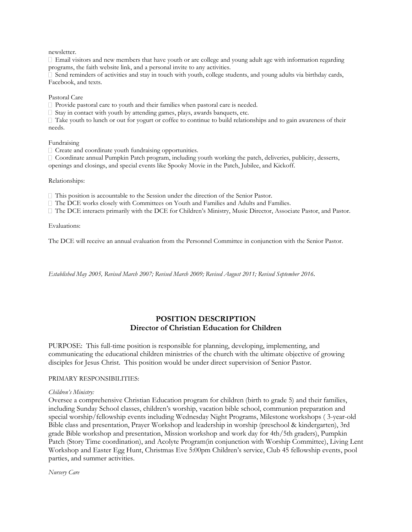newsletter.

 $\Box$  Email visitors and new members that have youth or are college and young adult age with information regarding programs, the faith website link, and a personal invite to any activities.

 $\Box$  Send reminders of activities and stay in touch with youth, college students, and young adults via birthday cards, Facebook, and texts.

#### Pastoral Care

 $\Box$  Provide pastoral care to youth and their families when pastoral care is needed.

 $\Box$  Stay in contact with youth by attending games, plays, awards banquets, etc.

 $\Box$  Take youth to lunch or out for yogurt or coffee to continue to build relationships and to gain awareness of their needs.

#### Fundraising

 $\Box$  Create and coordinate youth fundraising opportunities.

Coordinate annual Pumpkin Patch program, including youth working the patch, deliveries, publicity, desserts, openings and closings, and special events like Spooky Movie in the Patch, Jubilee, and Kickoff.

#### Relationships:

This position is accountable to the Session under the direction of the Senior Pastor.

The DCE works closely with Committees on Youth and Families and Adults and Families.

The DCE interacts primarily with the DCE for Children's Ministry, Music Director, Associate Pastor, and Pastor.

Evaluations:

The DCE will receive an annual evaluation from the Personnel Committee in conjunction with the Senior Pastor.

*Established May 2005, Revised March 2007; Revised March 2009; Revised August 2011; Revised September 2016.*

### **POSITION DESCRIPTION Director of Christian Education for Children**

PURPOSE: This full-time position is responsible for planning, developing, implementing, and communicating the educational children ministries of the church with the ultimate objective of growing disciples for Jesus Christ. This position would be under direct supervision of Senior Pastor.

#### PRIMARY RESPONSIBILITIES:

#### *Children's Ministry:*

Oversee a comprehensive Christian Education program for children (birth to grade 5) and their families, including Sunday School classes, children's worship, vacation bible school, communion preparation and special worship/fellowship events including Wednesday Night Programs, Milestone workshops ( 3-year-old Bible class and presentation, Prayer Workshop and leadership in worship (preschool & kindergarten), 3rd grade Bible workshop and presentation, Mission workshop and work day for 4th/5th graders), Pumpkin Patch (Story Time coordination), and Acolyte Program(in conjunction with Worship Committee), Living Lent Workshop and Easter Egg Hunt, Christmas Eve 5:00pm Children's service, Club 45 fellowship events, pool parties, and summer activities.

*Nursery Care*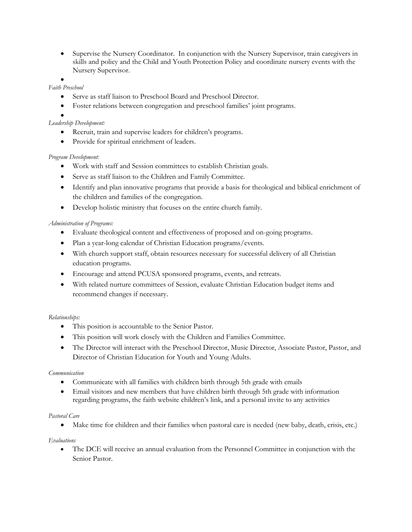Supervise the Nursery Coordinator. In conjunction with the Nursery Supervisor, train caregivers in skills and policy and the Child and Youth Protection Policy and coordinate nursery events with the Nursery Supervisor.

### $\bullet$

### *Faith Preschool*

- Serve as staff liaison to Preschool Board and Preschool Director.
- Foster relations between congregation and preschool families' joint programs.
- $\bullet$

## *Leadership Development:*

- Recruit, train and supervise leaders for children's programs.
- Provide for spiritual enrichment of leaders.

## *Program Development:*

- Work with staff and Session committees to establish Christian goals.
- Serve as staff liaison to the Children and Family Committee.
- Identify and plan innovative programs that provide a basis for theological and biblical enrichment of the children and families of the congregation.
- Develop holistic ministry that focuses on the entire church family.

### *Administration of Programs:*

- Evaluate theological content and effectiveness of proposed and on-going programs.
- Plan a year-long calendar of Christian Education programs/events.
- With church support staff, obtain resources necessary for successful delivery of all Christian education programs.
- Encourage and attend PCUSA sponsored programs, events, and retreats.
- With related nurture committees of Session, evaluate Christian Education budget items and recommend changes if necessary.

### *Relationships:*

- This position is accountable to the Senior Pastor.
- This position will work closely with the Children and Families Committee.
- The Director will interact with the Preschool Director, Music Director, Associate Pastor, Pastor, and Director of Christian Education for Youth and Young Adults.

### *Communication*

- Communicate with all families with children birth through 5th grade with emails
- Email visitors and new members that have children birth through 5th grade with information regarding programs, the faith website children's link, and a personal invite to any activities

### *Pastoral Care*

Make time for children and their families when pastoral care is needed (new baby, death, crisis, etc.)

### *Evaluations*

 The DCE will receive an annual evaluation from the Personnel Committee in conjunction with the Senior Pastor.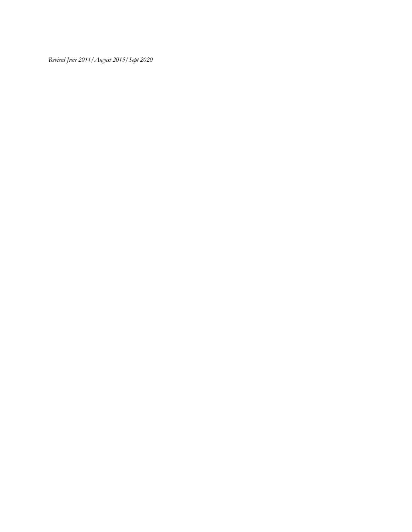*Revised June 2011/August 2015/Sept 2020*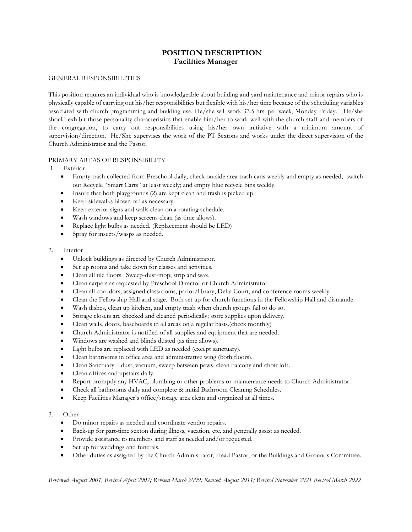# **POSITION DESCRIPTION Facilities Manager**

### GENERAL RESPONSIBILITIES

This position requires an individual who is knowledgeable about building and yard maintenance and minor repairs who is physically capable of carrying out his/her responsibilities but flexible with his/her time because of the scheduling variables associated with church programming and building use. He/she will work 37.5 hrs. per week, Monday-Friday. He/she should exhibit those personality characteristics that enable him/her to work well with the church staff and members of the congregation, to carry out responsibilities using his/her own initiative with a minimum amount of supervision/direction. He/She supervises the work of the PT Sextons and works under the direct supervision of the Church Administrator and the Pastor.

### PRIMARY AREAS OF RESPONSIBILITY

- 1. Exterior
	- Empty trash collected from Preschool daily; check outside area trash cans weekly and empty as needed; switch out Recycle "Smart Carts" at least weekly; and empty blue recycle bins weekly.
	- Insure that both playgrounds (2) are kept clean and trash is picked up.
	- Keep sidewalks blown off as necessary.
	- Keep exterior signs and walls clean on a rotating schedule.
	- Wash windows and keep screens clean (as time allows).
	- Replace light bulbs as needed. (Replacement should be LED)
	- Spray for insects/wasps as needed.
- 2. Interior
	- Unlock buildings as directed by Church Administrator.
	- Set up rooms and take down for classes and activities.
	- Clean all tile floors. Sweep-dust-mop; strip and wax.
	- Clean carpets as requested by Preschool Director or Church Administrator.
	- Clean all corridors, assigned classrooms, parlor/library, Delta Court, and conference rooms weekly.
	- Clean the Fellowship Hall and stage. Both set up for church functions in the Fellowship Hall and dismantle.
	- Wash dishes, clean up kitchen, and empty trash when church groups fail to do so.
	- Storage closets are checked and cleaned periodically; store supplies upon delivery.
	- Clean walls, doors, baseboards in all areas on a regular basis.(check monthly)
	- Church Administrator is notified of all supplies and equipment that are needed.
	- Windows are washed and blinds dusted (as time allows).
	- Light bulbs are replaced with LED as needed (except sanctuary).
	- Clean bathrooms in office area and administrative wing (both floors).
	- Clean Sanctuary dust, vacuum, sweep between pews, clean balcony and choir loft.
	- Clean offices and upstairs daily.
	- Report promptly any HVAC, plumbing or other problems or maintenance needs to Church Administrator.
	- Check all bathrooms daily and complete & initial Bathroom Cleaning Schedules.
	- Keep Facilities Manager's office/storage area clean and organized at all times.

#### 3. Other

- Do minor repairs as needed and coordinate vendor repairs.
- Back-up for part-time sexton during illness, vacation, etc. and generally assist as needed.
- Provide assistance to members and staff as needed and/or requested.
- Set up for weddings and funerals.
- Other duties as assigned by the Church Administrator, Head Pastor, or the Buildings and Grounds Committee.

*Reviewed August 2001, Revised April 2007; Revised March 2009; Revised August 2011; Revised November 2021 Revised March 2022*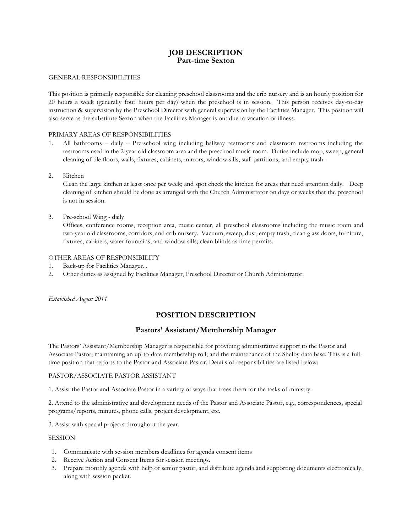# **JOB DESCRIPTION Part-time Sexton**

### GENERAL RESPONSIBILITIES

This position is primarily responsible for cleaning preschool classrooms and the crib nursery and is an hourly position for 20 hours a week (generally four hours per day) when the preschool is in session. This person receives day-to-day instruction & supervision by the Preschool Director with general supervision by the Facilities Manager. This position will also serve as the substitute Sexton when the Facilities Manager is out due to vacation or illness.

### PRIMARY AREAS OF RESPONSIBILITIES

- 1. All bathrooms daily Pre-school wing including hallway restrooms and classroom restrooms including the restrooms used in the 2-year old classroom area and the preschool music room. Duties include mop, sweep, general cleaning of tile floors, walls, fixtures, cabinets, mirrors, window sills, stall partitions, and empty trash.
- 2. Kitchen

Clean the large kitchen at least once per week; and spot check the kitchen for areas that need attention daily. Deep cleaning of kitchen should be done as arranged with the Church Administrator on days or weeks that the preschool is not in session.

3. Pre-school Wing - daily

Offices, conference rooms, reception area, music center, all preschool classrooms including the music room and two-year old classrooms, corridors, and crib nursery. Vacuum, sweep, dust, empty trash, clean glass doors, furniture, fixtures, cabinets, water fountains, and window sills; clean blinds as time permits.

### OTHER AREAS OF RESPONSIBILITY

- 1. Back-up for Facilities Manager. .
- 2. Other duties as assigned by Facilities Manager, Preschool Director or Church Administrator.

*Established August 2011*

# **POSITION DESCRIPTION**

### **Pastors' Assistant/Membership Manager**

The Pastors' Assistant/Membership Manager is responsible for providing administrative support to the Pastor and Associate Pastor; maintaining an up-to-date membership roll; and the maintenance of the Shelby data base. This is a fulltime position that reports to the Pastor and Associate Pastor. Details of responsibilities are listed below:

#### PASTOR/ASSOCIATE PASTOR ASSISTANT

1. Assist the Pastor and Associate Pastor in a variety of ways that frees them for the tasks of ministry.

2. Attend to the administrative and development needs of the Pastor and Associate Pastor, e.g., correspondences, special programs/reports, minutes, phone calls, project development, etc.

3. Assist with special projects throughout the year.

#### SESSION

- 1. Communicate with session members deadlines for agenda consent items
- 2. Receive Action and Consent Items for session meetings.
- 3. Prepare monthly agenda with help of senior pastor, and distribute agenda and supporting documents electronically, along with session packet.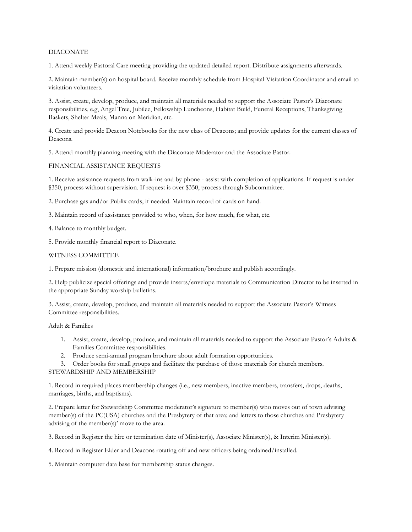### DIACONATE

1. Attend weekly Pastoral Care meeting providing the updated detailed report. Distribute assignments afterwards.

2. Maintain member(s) on hospital board. Receive monthly schedule from Hospital Visitation Coordinator and email to visitation volunteers.

3. Assist, create, develop, produce, and maintain all materials needed to support the Associate Pastor's Diaconate responsibilities, e.g, Angel Tree, Jubilee, Fellowship Luncheons, Habitat Build, Funeral Receptions, Thanksgiving Baskets, Shelter Meals, Manna on Meridian, etc.

4. Create and provide Deacon Notebooks for the new class of Deacons; and provide updates for the current classes of Deacons.

5. Attend monthly planning meeting with the Diaconate Moderator and the Associate Pastor.

#### FINANCIAL ASSISTANCE REQUESTS

1. Receive assistance requests from walk-ins and by phone - assist with completion of applications. If request is under \$350, process without supervision. If request is over \$350, process through Subcommittee.

2. Purchase gas and/or Publix cards, if needed. Maintain record of cards on hand.

- 3. Maintain record of assistance provided to who, when, for how much, for what, etc.
- 4. Balance to monthly budget.
- 5. Provide monthly financial report to Diaconate.

### WITNESS COMMITTEE

1. Prepare mission (domestic and international) information/brochure and publish accordingly.

2. Help publicize special offerings and provide inserts/envelope materials to Communication Director to be inserted in the appropriate Sunday worship bulletins.

3. Assist, create, develop, produce, and maintain all materials needed to support the Associate Pastor's Witness Committee responsibilities.

Adult & Families

- 1. Assist, create, develop, produce, and maintain all materials needed to support the Associate Pastor's Adults & Families Committee responsibilities.
- 2. Produce semi-annual program brochure about adult formation opportunities.

3. Order books for small groups and facilitate the purchase of those materials for church members.

#### STEWARDSHIP AND MEMBERSHIP

1. Record in required places membership changes (i.e., new members, inactive members, transfers, drops, deaths, marriages, births, and baptisms).

2. Prepare letter for Stewardship Committee moderator's signature to member(s) who moves out of town advising member(s) of the PC(USA) churches and the Presbytery of that area; and letters to those churches and Presbytery advising of the member(s)' move to the area.

3. Record in Register the hire or termination date of Minister(s), Associate Minister(s), & Interim Minister(s).

4. Record in Register Elder and Deacons rotating off and new officers being ordained/installed.

5. Maintain computer data base for membership status changes.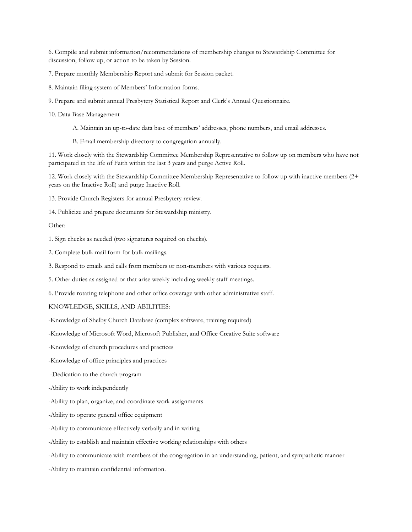6. Compile and submit information/recommendations of membership changes to Stewardship Committee for discussion, follow up, or action to be taken by Session.

- 7. Prepare monthly Membership Report and submit for Session packet.
- 8. Maintain filing system of Members' Information forms.
- 9. Prepare and submit annual Presbytery Statistical Report and Clerk's Annual Questionnaire.
- 10. Data Base Management
	- A. Maintain an up-to-date data base of members' addresses, phone numbers, and email addresses.
	- B. Email membership directory to congregation annually.

11. Work closely with the Stewardship Committee Membership Representative to follow up on members who have not participated in the life of Faith within the last 3 years and purge Active Roll.

12. Work closely with the Stewardship Committee Membership Representative to follow up with inactive members (2+ years on the Inactive Roll) and purge Inactive Roll.

- 13. Provide Church Registers for annual Presbytery review.
- 14. Publicize and prepare documents for Stewardship ministry.

#### Other:

- 1. Sign checks as needed (two signatures required on checks).
- 2. Complete bulk mail form for bulk mailings.
- 3. Respond to emails and calls from members or non-members with various requests.
- 5. Other duties as assigned or that arise weekly including weekly staff meetings.
- 6. Provide rotating telephone and other office coverage with other administrative staff.

#### KNOWLEDGE, SKILLS, AND ABILITIES:

- -Knowledge of Shelby Church Database (complex software, training required)
- -Knowledge of Microsoft Word, Microsoft Publisher, and Office Creative Suite software
- -Knowledge of church procedures and practices
- -Knowledge of office principles and practices
- -Dedication to the church program
- -Ability to work independently
- -Ability to plan, organize, and coordinate work assignments
- -Ability to operate general office equipment
- -Ability to communicate effectively verbally and in writing
- -Ability to establish and maintain effective working relationships with others
- -Ability to communicate with members of the congregation in an understanding, patient, and sympathetic manner
- -Ability to maintain confidential information.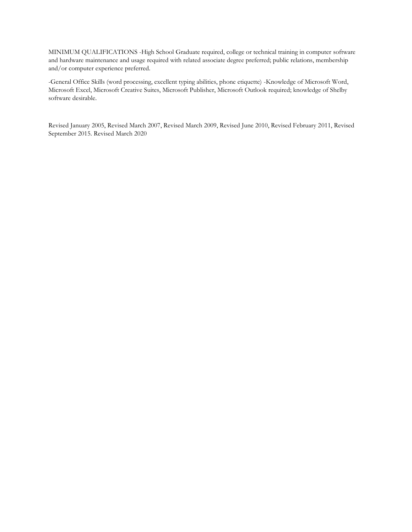MINIMUM QUALIFICATIONS -High School Graduate required, college or technical training in computer software and hardware maintenance and usage required with related associate degree preferred; public relations, membership and/or computer experience preferred.

-General Office Skills (word processing, excellent typing abilities, phone etiquette) -Knowledge of Microsoft Word, Microsoft Excel, Microsoft Creative Suites, Microsoft Publisher, Microsoft Outlook required; knowledge of Shelby software desirable.

Revised January 2005, Revised March 2007, Revised March 2009, Revised June 2010, Revised February 2011, Revised September 2015. Revised March 2020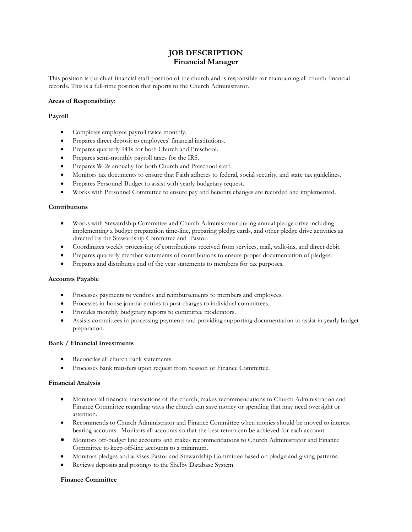# **JOB DESCRIPTION Financial Manager**

This position is the chief financial staff position of the church and is responsible for maintaining all church financial records. This is a full-time position that reports to the Church Administrator.

#### **Areas of Responsibility**:

### **Payroll**

- Completes employee payroll twice monthly.
- Prepares direct deposit to employees' financial institutions.
- Prepares quarterly 941s for both Church and Preschool.
- Prepares semi-monthly payroll taxes for the IRS.
- Prepares W-2s annually for both Church and Preschool staff.
- Monitors tax documents to ensure that Faith adheres to federal, social security, and state tax guidelines.
- Prepares Personnel Budget to assist with yearly budgetary request.
- Works with Personnel Committee to ensure pay and benefits changes are recorded and implemented.

### **Contributions**

- Works with Stewardship Committee and Church Administrator during annual pledge drive including implementing a budget preparation time-line, preparing pledge cards, and other pledge drive activities as directed by the Stewardship Committee and Pastor.
- Coordinates weekly processing of contributions received from services, mail, walk-ins, and direct debit.
- Prepares quarterly member statements of contributions to ensure proper documentation of pledges.
- Prepares and distributes end of the year statements to members for tax purposes.

#### **Accounts Payable**

- Processes payments to vendors and reimbursements to members and employees.
- Processes in-house journal entries to post charges to individual committees.
- Provides monthly budgetary reports to committee moderators.
- Assists committees in processing payments and providing supporting documentation to assist in yearly budget preparation.

#### **Bank / Financial Investments**

- Reconciles all church bank statements.
- Processes bank transfers upon request from Session or Finance Committee.

#### **Financial Analysis**

- Monitors all financial transactions of the church; makes recommendations to Church Administration and Finance Committee regarding ways the church can save money or spending that may need oversight or attention.
- Recommends to Church Administrator and Finance Committee when monies should be moved to interest bearing accounts. Monitors all accounts so that the best return can be achieved for each account.
- Monitors off-budget line accounts and makes recommendations to Church Administrator and Finance Committee to keep off-line accounts to a minimum.
- Monitors pledges and advises Pastor and Stewardship Committee based on pledge and giving patterns.
- Reviews deposits and postings to the Shelby Database System.

#### **Finance Committee**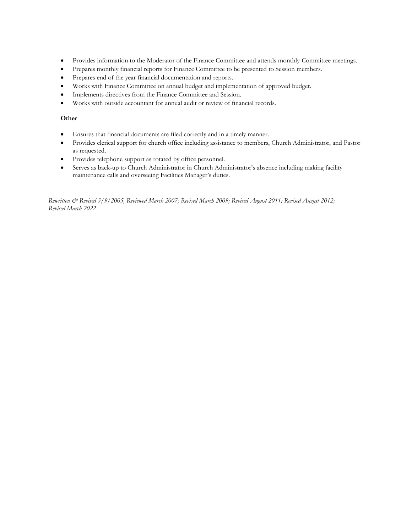- Provides information to the Moderator of the Finance Committee and attends monthly Committee meetings.
- Prepares monthly financial reports for Finance Committee to be presented to Session members.
- Prepares end of the year financial documentation and reports.
- Works with Finance Committee on annual budget and implementation of approved budget.
- Implements directives from the Finance Committee and Session.
- Works with outside accountant for annual audit or review of financial records.

### **Other**

- Ensures that financial documents are filed correctly and in a timely manner.
- Provides clerical support for church office including assistance to members, Church Administrator, and Pastor as requested.
- Provides telephone support as rotated by office personnel.
- Serves as back-up to Church Administrator in Church Administrator's absence including making facility maintenance calls and overseeing Facilities Manager's duties.

*Rewritten & Revised 3/9/2005, Reviewed March 2007; Revised March 2009; Revised August 2011; Revised August 2012; Revised March 2022*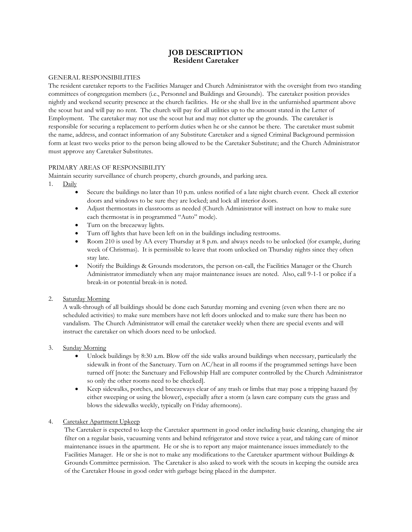# **JOB DESCRIPTION Resident Caretaker**

### GENERAL RESPONSIBILITIES

The resident caretaker reports to the Facilities Manager and Church Administrator with the oversight from two standing committees of congregation members (i.e., Personnel and Buildings and Grounds). The caretaker position provides nightly and weekend security presence at the church facilities. He or she shall live in the unfurnished apartment above the scout hut and will pay no rent. The church will pay for all utilities up to the amount stated in the Letter of Employment. The caretaker may not use the scout hut and may not clutter up the grounds. The caretaker is responsible for securing a replacement to perform duties when he or she cannot be there. The caretaker must submit the name, address, and contact information of any Substitute Caretaker and a signed Criminal Background permission form at least two weeks prior to the person being allowed to be the Caretaker Substitute; and the Church Administrator must approve any Caretaker Substitutes.

### PRIMARY AREAS OF RESPONSIBILITY

Maintain security surveillance of church property, church grounds, and parking area.

- 1. Daily
	- Secure the buildings no later than 10 p.m. unless notified of a late night church event. Check all exterior doors and windows to be sure they are locked; and lock all interior doors.
	- Adjust thermostats in classrooms as needed (Church Administrator will instruct on how to make sure each thermostat is in programmed "Auto" mode).
	- Turn on the breezeway lights.
	- Turn off lights that have been left on in the buildings including restrooms.
	- Room 210 is used by AA every Thursday at 8 p.m. and always needs to be unlocked (for example, during week of Christmas). It is permissible to leave that room unlocked on Thursday nights since they often stay late.
	- Notify the Buildings & Grounds moderators, the person on-call, the Facilities Manager or the Church Administrator immediately when any major maintenance issues are noted. Also, call 9-1-1 or police if a break-in or potential break-in is noted.

### 2. Saturday Morning

A walk-through of all buildings should be done each Saturday morning and evening (even when there are no scheduled activities) to make sure members have not left doors unlocked and to make sure there has been no vandalism. The Church Administrator will email the caretaker weekly when there are special events and will instruct the caretaker on which doors need to be unlocked.

### 3. Sunday Morning

- Unlock buildings by 8:30 a.m. Blow off the side walks around buildings when necessary, particularly the sidewalk in front of the Sanctuary. Turn on AC/heat in all rooms if the programmed settings have been turned off [note: the Sanctuary and Fellowship Hall are computer controlled by the Church Administrator so only the other rooms need to be checked].
- Keep sidewalks, porches, and breezeways clear of any trash or limbs that may pose a tripping hazard (by either sweeping or using the blower), especially after a storm (a lawn care company cuts the grass and blows the sidewalks weekly, typically on Friday afternoons).

### 4. Caretaker Apartment Upkeep

The Caretaker is expected to keep the Caretaker apartment in good order including basic cleaning, changing the air filter on a regular basis, vacuuming vents and behind refrigerator and stove twice a year, and taking care of minor maintenance issues in the apartment. He or she is to report any major maintenance issues immediately to the Facilities Manager. He or she is not to make any modifications to the Caretaker apartment without Buildings & Grounds Committee permission. The Caretaker is also asked to work with the scouts in keeping the outside area of the Caretaker House in good order with garbage being placed in the dumpster.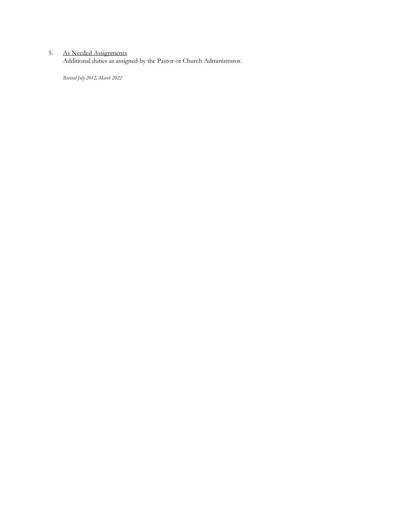#### 5. As Needed Assignments

Additional duties as assigned by the Pastor or Church Administrator.

*Revised July 2012, March 2022*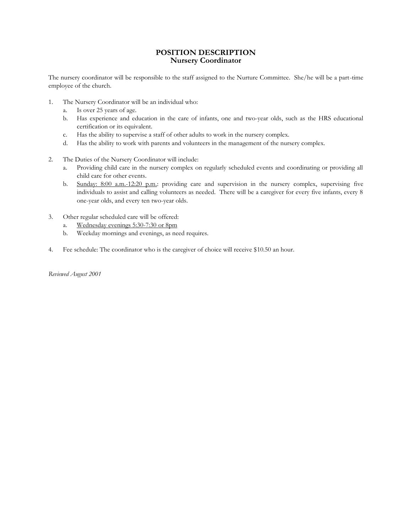### **POSITION DESCRIPTION Nursery Coordinator**

The nursery coordinator will be responsible to the staff assigned to the Nurture Committee. She/he will be a part-time employee of the church.

- 1. The Nursery Coordinator will be an individual who:
	- a. Is over 25 years of age.
	- b. Has experience and education in the care of infants, one and two-year olds, such as the HRS educational certification or its equivalent.
	- c. Has the ability to supervise a staff of other adults to work in the nursery complex.
	- d. Has the ability to work with parents and volunteers in the management of the nursery complex.
- 2. The Duties of the Nursery Coordinator will include:
	- a. Providing child care in the nursery complex on regularly scheduled events and coordinating or providing all child care for other events.
	- b. Sunday: 8:00 a.m.-12:20 p.m.: providing care and supervision in the nursery complex, supervising five individuals to assist and calling volunteers as needed. There will be a caregiver for every five infants, every 8 one-year olds, and every ten two-year olds.
- 3. Other regular scheduled care will be offered:
	- a. Wednesday evenings 5:30-7:30 or 8pm
	- b. Weekday mornings and evenings, as need requires.
- 4. Fee schedule: The coordinator who is the caregiver of choice will receive \$10.50 an hour.

*Reviewed August 2001*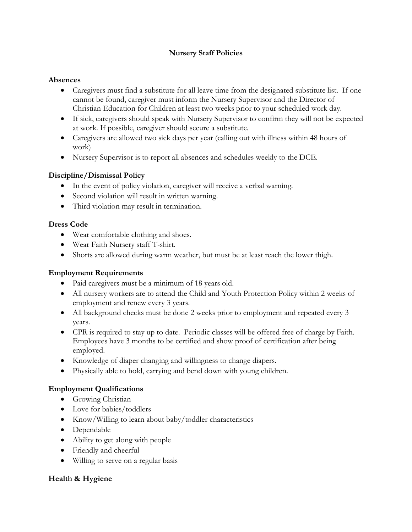# **Nursery Staff Policies**

# **Absences**

- Caregivers must find a substitute for all leave time from the designated substitute list. If one cannot be found, caregiver must inform the Nursery Supervisor and the Director of Christian Education for Children at least two weeks prior to your scheduled work day.
- If sick, caregivers should speak with Nursery Supervisor to confirm they will not be expected at work. If possible, caregiver should secure a substitute.
- Caregivers are allowed two sick days per year (calling out with illness within 48 hours of work)
- Nursery Supervisor is to report all absences and schedules weekly to the DCE.

# **Discipline/Dismissal Policy**

- In the event of policy violation, caregiver will receive a verbal warning.
- Second violation will result in written warning.
- Third violation may result in termination.

# **Dress Code**

- Wear comfortable clothing and shoes.
- Wear Faith Nursery staff T-shirt.
- Shorts are allowed during warm weather, but must be at least reach the lower thigh.

# **Employment Requirements**

- Paid caregivers must be a minimum of 18 years old.
- All nursery workers are to attend the Child and Youth Protection Policy within 2 weeks of employment and renew every 3 years.
- All background checks must be done 2 weeks prior to employment and repeated every 3 years.
- CPR is required to stay up to date. Periodic classes will be offered free of charge by Faith. Employees have 3 months to be certified and show proof of certification after being employed.
- Knowledge of diaper changing and willingness to change diapers.
- Physically able to hold, carrying and bend down with young children.

# **Employment Qualifications**

- **•** Growing Christian
- Love for babies/toddlers
- Know/Willing to learn about baby/toddler characteristics
- Dependable
- Ability to get along with people
- Friendly and cheerful
- Willing to serve on a regular basis

# **Health & Hygiene**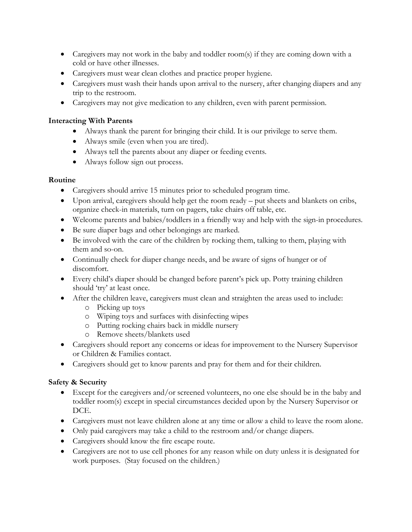- Caregivers may not work in the baby and toddler room(s) if they are coming down with a cold or have other illnesses.
- Caregivers must wear clean clothes and practice proper hygiene.
- Caregivers must wash their hands upon arrival to the nursery, after changing diapers and any trip to the restroom.
- Caregivers may not give medication to any children, even with parent permission.

# **Interacting With Parents**

- Always thank the parent for bringing their child. It is our privilege to serve them.
- Always smile (even when you are tired).
- Always tell the parents about any diaper or feeding events.
- Always follow sign out process.

# **Routine**

- Caregivers should arrive 15 minutes prior to scheduled program time.
- Upon arrival, caregivers should help get the room ready put sheets and blankets on cribs, organize check-in materials, turn on pagers, take chairs off table, etc.
- Welcome parents and babies/toddlers in a friendly way and help with the sign-in procedures.
- Be sure diaper bags and other belongings are marked.
- Be involved with the care of the children by rocking them, talking to them, playing with them and so-on.
- Continually check for diaper change needs, and be aware of signs of hunger or of discomfort.
- Every child's diaper should be changed before parent's pick up. Potty training children should 'try' at least once.
- After the children leave, caregivers must clean and straighten the areas used to include:
	- o Picking up toys
	- o Wiping toys and surfaces with disinfecting wipes
	- o Putting rocking chairs back in middle nursery
	- o Remove sheets/blankets used
- Caregivers should report any concerns or ideas for improvement to the Nursery Supervisor or Children & Families contact.
- Caregivers should get to know parents and pray for them and for their children.

# **Safety & Security**

- Except for the caregivers and/or screened volunteers, no one else should be in the baby and toddler room(s) except in special circumstances decided upon by the Nursery Supervisor or DCE.
- Caregivers must not leave children alone at any time or allow a child to leave the room alone.
- Only paid caregivers may take a child to the restroom and/or change diapers.
- Caregivers should know the fire escape route.
- Caregivers are not to use cell phones for any reason while on duty unless it is designated for work purposes. (Stay focused on the children.)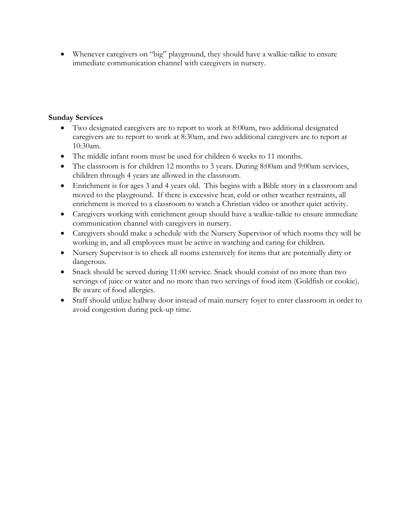Whenever caregivers on "big" playground, they should have a walkie-talkie to ensure immediate communication channel with caregivers in nursery.

# **Sunday Services**

- Two designated caregivers are to report to work at 8:00am, two additional designated caregivers are to report to work at 8:30am, and two additional caregivers are to report at 10:30am.
- The middle infant room must be used for children 6 weeks to 11 months.
- The classroom is for children 12 months to 3 years. During 8:00am and 9:00am services, children through 4 years are allowed in the classroom.
- Enrichment is for ages 3 and 4 years old. This begins with a Bible story in a classroom and moved to the playground. If there is excessive heat, cold or other weather restraints, all enrichment is moved to a classroom to watch a Christian video or another quiet activity.
- Caregivers working with enrichment group should have a walkie-talkie to ensure immediate communication channel with caregivers in nursery.
- Caregivers should make a schedule with the Nursery Supervisor of which rooms they will be working in, and all employees must be active in watching and caring for children.
- Nursery Supervisor is to check all rooms extensively for items that are potentially dirty or dangerous.
- Snack should be served during 11:00 service. Snack should consist of no more than two servings of juice or water and no more than two servings of food item (Goldfish or cookie). Be aware of food allergies.
- Staff should utilize hallway door instead of main nursery foyer to enter classroom in order to avoid congestion during pick-up time.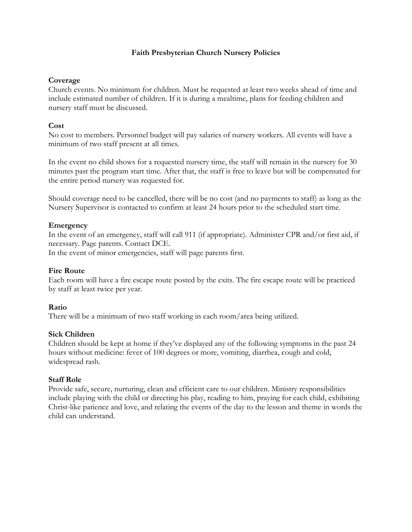# **Faith Presbyterian Church Nursery Policies**

### **Coverage**

Church events. No minimum for children. Must be requested at least two weeks ahead of time and include estimated number of children. If it is during a mealtime, plans for feeding children and nursery staff must be discussed.

# **Cost**

No cost to members. Personnel budget will pay salaries of nursery workers. All events will have a minimum of two staff present at all times.

In the event no child shows for a requested nursery time, the staff will remain in the nursery for 30 minutes past the program start time. After that, the staff is free to leave but will be compensated for the entire period nursery was requested for.

Should coverage need to be cancelled, there will be no cost (and no payments to staff) as long as the Nursery Supervisor is contacted to confirm at least 24 hours prior to the scheduled start time.

## **Emergency**

In the event of an emergency, staff will call 911 (if appropriate). Administer CPR and/or first aid, if necessary. Page parents. Contact DCE.

In the event of minor emergencies, staff will page parents first.

### **Fire Route**

Each room will have a fire escape route posted by the exits. The fire escape route will be practiced by staff at least twice per year.

### **Ratio**

There will be a minimum of two staff working in each room/area being utilized.

### **Sick Children**

Children should be kept at home if they've displayed any of the following symptoms in the past 24 hours without medicine: fever of 100 degrees or more, vomiting, diarrhea, cough and cold, widespread rash.

### **Staff Role**

Provide safe, secure, nurturing, clean and efficient care to our children. Ministry responsibilities include playing with the child or directing his play, reading to him, praying for each child, exhibiting Christ-like patience and love, and relating the events of the day to the lesson and theme in words the child can understand.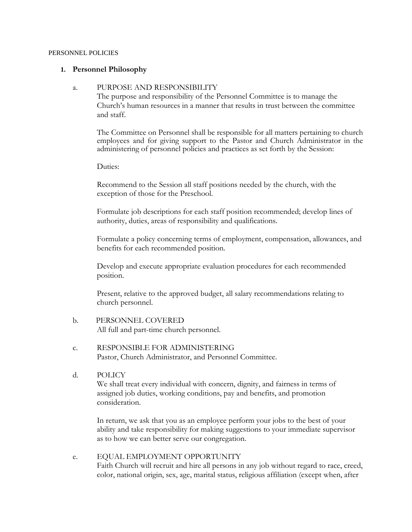### PERSONNEL POLICIES

### **1. Personnel Philosophy**

### a. PURPOSE AND RESPONSIBILITY

The purpose and responsibility of the Personnel Committee is to manage the Church's human resources in a manner that results in trust between the committee and staff.

The Committee on Personnel shall be responsible for all matters pertaining to church employees and for giving support to the Pastor and Church Administrator in the administering of personnel policies and practices as set forth by the Session:

Duties:

Recommend to the Session all staff positions needed by the church, with the exception of those for the Preschool.

Formulate job descriptions for each staff position recommended; develop lines of authority, duties, areas of responsibility and qualifications.

Formulate a policy concerning terms of employment, compensation, allowances, and benefits for each recommended position.

Develop and execute appropriate evaluation procedures for each recommended position.

Present, relative to the approved budget, all salary recommendations relating to church personnel.

- b. PERSONNEL COVERED All full and part-time church personnel.
- c. RESPONSIBLE FOR ADMINISTERING Pastor, Church Administrator, and Personnel Committee.
- d. POLICY We shall treat every individual with concern, dignity, and fairness in terms of assigned job duties, working conditions, pay and benefits, and promotion consideration.

In return, we ask that you as an employee perform your jobs to the best of your ability and take responsibility for making suggestions to your immediate supervisor as to how we can better serve our congregation.

e. EQUAL EMPLOYMENT OPPORTUNITY Faith Church will recruit and hire all persons in any job without regard to race, creed, color, national origin, sex, age, marital status, religious affiliation (except when, after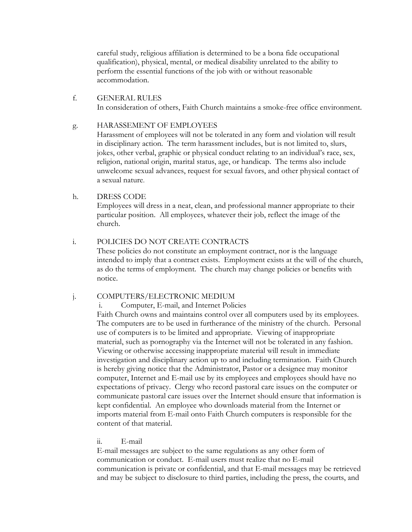careful study, religious affiliation is determined to be a bona fide occupational qualification), physical, mental, or medical disability unrelated to the ability to perform the essential functions of the job with or without reasonable accommodation.

f. GENERAL RULES In consideration of others, Faith Church maintains a smoke-free office environment.

## g. HARASSEMENT OF EMPLOYEES

Harassment of employees will not be tolerated in any form and violation will result in disciplinary action. The term harassment includes, but is not limited to, slurs, jokes, other verbal, graphic or physical conduct relating to an individual's race, sex, religion, national origin, marital status, age, or handicap. The terms also include unwelcome sexual advances, request for sexual favors, and other physical contact of a sexual nature.

# h. DRESS CODE

Employees will dress in a neat, clean, and professional manner appropriate to their particular position. All employees, whatever their job, reflect the image of the church.

## i. POLICIES DO NOT CREATE CONTRACTS

These policies do not constitute an employment contract, nor is the language intended to imply that a contract exists. Employment exists at the will of the church, as do the terms of employment. The church may change policies or benefits with notice.

### j. COMPUTERS/ELECTRONIC MEDIUM

i. Computer, E-mail, and Internet Policies

Faith Church owns and maintains control over all computers used by its employees. The computers are to be used in furtherance of the ministry of the church. Personal use of computers is to be limited and appropriate. Viewing of inappropriate material, such as pornography via the Internet will not be tolerated in any fashion. Viewing or otherwise accessing inappropriate material will result in immediate investigation and disciplinary action up to and including termination. Faith Church is hereby giving notice that the Administrator, Pastor or a designee may monitor computer, Internet and E-mail use by its employees and employees should have no expectations of privacy. Clergy who record pastoral care issues on the computer or communicate pastoral care issues over the Internet should ensure that information is kept confidential. An employee who downloads material from the Internet or imports material from E-mail onto Faith Church computers is responsible for the content of that material.

### ii. E-mail

E-mail messages are subject to the same regulations as any other form of communication or conduct. E-mail users must realize that no E-mail communication is private or confidential, and that E-mail messages may be retrieved and may be subject to disclosure to third parties, including the press, the courts, and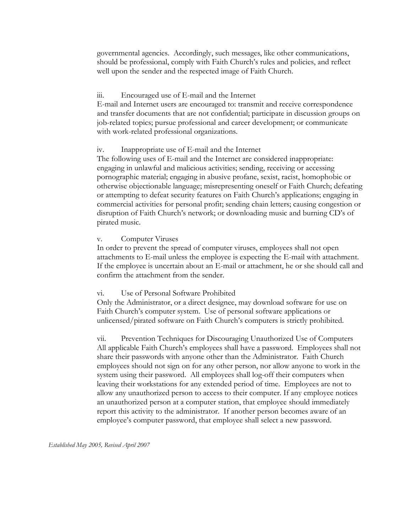governmental agencies. Accordingly, such messages, like other communications, should be professional, comply with Faith Church's rules and policies, and reflect well upon the sender and the respected image of Faith Church.

# iii. Encouraged use of E-mail and the Internet

E-mail and Internet users are encouraged to: transmit and receive correspondence and transfer documents that are not confidential; participate in discussion groups on job-related topics; pursue professional and career development; or communicate with work-related professional organizations.

## iv. Inappropriate use of E-mail and the Internet

The following uses of E-mail and the Internet are considered inappropriate: engaging in unlawful and malicious activities; sending, receiving or accessing pornographic material; engaging in abusive profane, sexist, racist, homophobic or otherwise objectionable language; misrepresenting oneself or Faith Church; defeating or attempting to defeat security features on Faith Church's applications; engaging in commercial activities for personal profit; sending chain letters; causing congestion or disruption of Faith Church's network; or downloading music and burning CD's of pirated music.

## v. Computer Viruses

In order to prevent the spread of computer viruses, employees shall not open attachments to E-mail unless the employee is expecting the E-mail with attachment. If the employee is uncertain about an E-mail or attachment, he or she should call and confirm the attachment from the sender.

# vi. Use of Personal Software Prohibited

Only the Administrator, or a direct designee, may download software for use on Faith Church's computer system. Use of personal software applications or unlicensed/pirated software on Faith Church's computers is strictly prohibited.

vii. Prevention Techniques for Discouraging Unauthorized Use of Computers All applicable Faith Church's employees shall have a password. Employees shall not share their passwords with anyone other than the Administrator. Faith Church employees should not sign on for any other person, nor allow anyone to work in the system using their password. All employees shall log-off their computers when leaving their workstations for any extended period of time. Employees are not to allow any unauthorized person to access to their computer. If any employee notices an unauthorized person at a computer station, that employee should immediately report this activity to the administrator. If another person becomes aware of an employee's computer password, that employee shall select a new password.

*Established May 2005, Revised April 2007*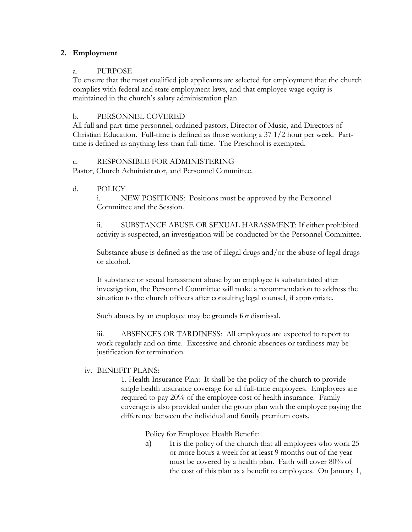# **2. Employment**

# a. PURPOSE

To ensure that the most qualified job applicants are selected for employment that the church complies with federal and state employment laws, and that employee wage equity is maintained in the church's salary administration plan.

# b. PERSONNEL COVERED

All full and part-time personnel, ordained pastors, Director of Music, and Directors of Christian Education. Full-time is defined as those working a 37 1/2 hour per week. Parttime is defined as anything less than full-time. The Preschool is exempted.

## c. RESPONSIBLE FOR ADMINISTERING

Pastor, Church Administrator, and Personnel Committee.

d. POLICY

i. NEW POSITIONS: Positions must be approved by the Personnel Committee and the Session.

SUBSTANCE ABUSE OR SEXUAL HARASSMENT: If either prohibited activity is suspected, an investigation will be conducted by the Personnel Committee.

Substance abuse is defined as the use of illegal drugs and/or the abuse of legal drugs or alcohol.

If substance or sexual harassment abuse by an employee is substantiated after investigation, the Personnel Committee will make a recommendation to address the situation to the church officers after consulting legal counsel, if appropriate.

Such abuses by an employee may be grounds for dismissal.

iii. ABSENCES OR TARDINESS: All employees are expected to report to work regularly and on time. Excessive and chronic absences or tardiness may be justification for termination.

# iv. BENEFIT PLANS:

1. Health Insurance Plan: It shall be the policy of the church to provide single health insurance coverage for all full-time employees. Employees are required to pay 20% of the employee cost of health insurance. Family coverage is also provided under the group plan with the employee paying the difference between the individual and family premium costs.

Policy for Employee Health Benefit:

a) It is the policy of the church that all employees who work 25 or more hours a week for at least 9 months out of the year must be covered by a health plan. Faith will cover 80% of the cost of this plan as a benefit to employees. On January 1,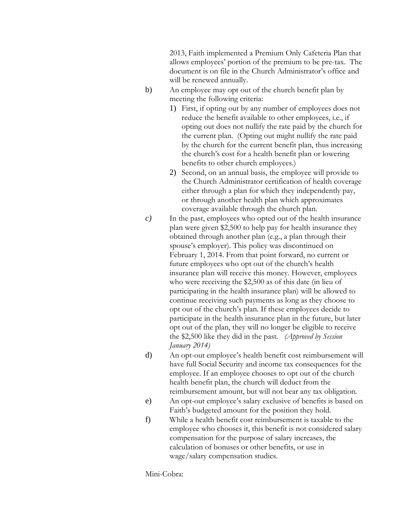2013, Faith implemented a Premium Only Cafeteria Plan that allows employees' portion of the premium to be pre-tax. The document is on file in the Church Administrator's office and will be renewed annually.

- b) An employee may opt out of the church benefit plan by meeting the following criteria:
	- 1) First, if opting out by any number of employees does not reduce the benefit available to other employees, i.e., if opting out does not nullify the rate paid by the church for the current plan. (Opting out might nullify the rate paid by the church for the current benefit plan, thus increasing the church's cost for a health benefit plan or lowering benefits to other church employees.)
	- 2) Second, on an annual basis, the employee will provide to the Church Administrator certification of health coverage either through a plan for which they independently pay, or through another health plan which approximates coverage available through the church plan.
- *c)* In the past, employees who opted out of the health insurance plan were given \$2,500 to help pay for health insurance they obtained through another plan (e.g., a plan through their spouse's employer). This policy was discontinued on February 1, 2014. From that point forward, no current or future employees who opt out of the church's health insurance plan will receive this money. However, employees who were receiving the \$2,500 as of this date (in lieu of participating in the health insurance plan) will be allowed to continue receiving such payments as long as they choose to opt out of the church's plan. If these employees decide to participate in the health insurance plan in the future, but later opt out of the plan, they will no longer be eligible to receive the \$2,500 like they did in the past. *(Approved by Session January 2014)*
- d) An opt-out employee's health benefit cost reimbursement will have full Social Security and income tax consequences for the employee. If an employee chooses to opt out of the church health benefit plan, the church will deduct from the reimbursement amount, but will not bear any tax obligation.
- e) An opt-out employee's salary exclusive of benefits is based on Faith's budgeted amount for the position they hold.
- f) While a health benefit cost reimbursement is taxable to the employee who chooses it, this benefit is not considered salary compensation for the purpose of salary increases, the calculation of bonuses or other benefits, or use in wage/salary compensation studies.

Mini-Cobra: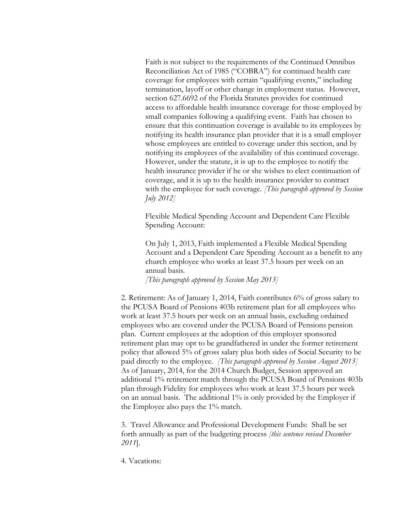Faith is not subject to the requirements of the Continued Omnibus Reconciliation Act of 1985 ("COBRA") for continued health care coverage for employees with certain "qualifying events," including termination, layoff or other change in employment status. However, section 627.6692 of the Florida Statutes provides for continued access to affordable health insurance coverage for those employed by small companies following a qualifying event. Faith has chosen to ensure that this continuation coverage is available to its employees by notifying its health insurance plan provider that it is a small employer whose employees are entitled to coverage under this section, and by notifying its employees of the availability of this continued coverage. However, under the statute, it is up to the employee to notify the health insurance provider if he or she wishes to elect continuation of coverage, and it is up to the health insurance provider to contract with the employee for such coverage. *[This paragraph approved by Session July 2012]*

Flexible Medical Spending Account and Dependent Care Flexible Spending Account:

On July 1, 2013, Faith implemented a Flexible Medical Spending Account and a Dependent Care Spending Account as a benefit to any church employee who works at least 37.5 hours per week on an annual basis.

*[This paragraph approved by Session May 2013]*

2. Retirement: As of January 1, 2014, Faith contributes 6% of gross salary to the PCUSA Board of Pensions 403b retirement plan for all employees who work at least 37.5 hours per week on an annual basis, excluding ordained employees who are covered under the PCUSA Board of Pensions pension plan. Current employees at the adoption of this employer sponsored retirement plan may opt to be grandfathered in under the former retirement policy that allowed 5% of gross salary plus both sides of Social Security to be paid directly to the employee. *[This paragraph approved by Session August 2013]* As of January, 2014, for the 2014 Church Budget, Session approved an additional 1% retirement match through the PCUSA Board of Pensions 403b plan through Fidelity for employees who work at least 37.5 hours per week on an annual basis. The additional 1% is only provided by the Employer if the Employee also pays the 1% match.

3. Travel Allowance and Professional Development Funds: Shall be set forth annually as part of the budgeting process *[this sentence revised December 2011*].

4. Vacations: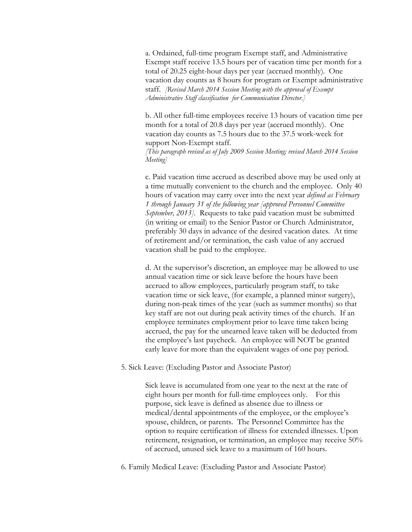a. Ordained, full-time program Exempt staff, and Administrative Exempt staff receive 13.5 hours per of vacation time per month for a total of 20.25 eight-hour days per year (accrued monthly). One vacation day counts as 8 hours for program or Exempt administrative staff. *[Revised March 2014 Session Meeting with the approval of Exempt Administrative Staff classification for Communication Director.]*

b. All other full-time employees receive 13 hours of vacation time per month for a total of 20.8 days per year (accrued monthly). One vacation day counts as 7.5 hours due to the 37.5 work-week for support Non-Exempt staff.

*[This paragraph revised as of July 2009 Session Meeting; revised March 2014 Session Meeting]*

c. Paid vacation time accrued as described above may be used only at a time mutually convenient to the church and the employee. Only 40 hours of vacation may carry over into the next year *defined as February 1 through January 31 of the following year [approved Personnel Committee September, 2013].* Requests to take paid vacation must be submitted (in writing or email) to the Senior Pastor or Church Administrator, preferably 30 days in advance of the desired vacation dates. At time of retirement and/or termination, the cash value of any accrued vacation shall be paid to the employee.

d. At the supervisor's discretion, an employee may be allowed to use annual vacation time or sick leave before the hours have been accrued to allow employees, particularly program staff, to take vacation time or sick leave, (for example, a planned minor surgery), during non-peak times of the year (such as summer months) so that key staff are not out during peak activity times of the church. If an employee terminates employment prior to leave time taken being accrued, the pay for the unearned leave taken will be deducted from the employee's last paycheck. An employee will NOT be granted early leave for more than the equivalent wages of one pay period.

5. Sick Leave: (Excluding Pastor and Associate Pastor)

Sick leave is accumulated from one year to the next at the rate of eight hours per month for full-time employees only. For this purpose, sick leave is defined as absence due to illness or medical/dental appointments of the employee, or the employee's spouse, children, or parents. The Personnel Committee has the option to require certification of illness for extended illnesses. Upon retirement, resignation, or termination, an employee may receive 50% of accrued, unused sick leave to a maximum of 160 hours.

6. Family Medical Leave: (Excluding Pastor and Associate Pastor)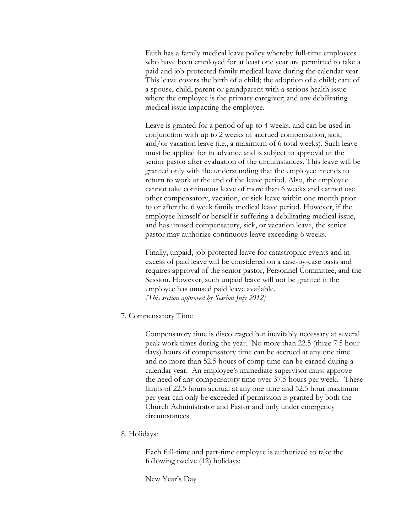Faith has a family medical leave policy whereby full-time employees who have been employed for at least one year are permitted to take a paid and job-protected family medical leave during the calendar year. This leave covers the birth of a child; the adoption of a child; care of a spouse, child, parent or grandparent with a serious health issue where the employee is the primary caregiver; and any debilitating medical issue impacting the employee.

Leave is granted for a period of up to 4 weeks, and can be used in conjunction with up to 2 weeks of accrued compensation, sick, and/or vacation leave (i.e., a maximum of 6 total weeks). Such leave must be applied for in advance and is subject to approval of the senior pastor after evaluation of the circumstances. This leave will be granted only with the understanding that the employee intends to return to work at the end of the leave period. Also, the employee cannot take continuous leave of more than 6 weeks and cannot use other compensatory, vacation, or sick leave within one month prior to or after the 6 week family medical leave period. However, if the employee himself or herself is suffering a debilitating medical issue, and has unused compensatory, sick, or vacation leave, the senior pastor may authorize continuous leave exceeding 6 weeks.

Finally, unpaid, job-protected leave for catastrophic events and in excess of paid leave will be considered on a case-by-case basis and requires approval of the senior pastor, Personnel Committee, and the Session. However, such unpaid leave will not be granted if the employee has unused paid leave available. *[This section approved by Session July 2012]*

7. Compensatory Time

Compensatory time is discouraged but inevitably necessary at several peak work times during the year. No more than 22.5 (three 7.5 hour days) hours of compensatory time can be accrued at any one time and no more than 52.5 hours of comp time can be earned during a calendar year. An employee's immediate supervisor must approve the need of any compensatory time over 37.5 hours per week. These limits of 22.5 hours accrual at any one time and 52.5 hour maximum per year can only be exceeded if permission is granted by both the Church Administrator and Pastor and only under emergency circumstances.

8. Holidays:

Each full-time and part-time employee is authorized to take the following twelve (12) holidays:

New Year's Day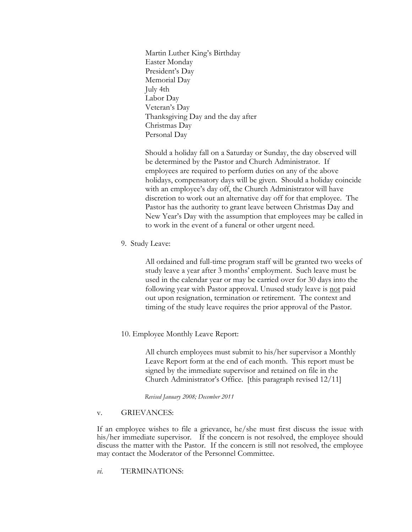Martin Luther King's Birthday Easter Monday President's Day Memorial Day July 4th Labor Day Veteran's Day Thanksgiving Day and the day after Christmas Day Personal Day

Should a holiday fall on a Saturday or Sunday, the day observed will be determined by the Pastor and Church Administrator. If employees are required to perform duties on any of the above holidays, compensatory days will be given. Should a holiday coincide with an employee's day off, the Church Administrator will have discretion to work out an alternative day off for that employee. The Pastor has the authority to grant leave between Christmas Day and New Year's Day with the assumption that employees may be called in to work in the event of a funeral or other urgent need.

9. Study Leave:

All ordained and full-time program staff will be granted two weeks of study leave a year after 3 months' employment. Such leave must be used in the calendar year or may be carried over for 30 days into the following year with Pastor approval. Unused study leave is not paid out upon resignation, termination or retirement. The context and timing of the study leave requires the prior approval of the Pastor.

10. Employee Monthly Leave Report:

All church employees must submit to his/her supervisor a Monthly Leave Report form at the end of each month. This report must be signed by the immediate supervisor and retained on file in the Church Administrator's Office. [this paragraph revised 12/11]

 *Revised January 2008; December 2011*

### v. GRIEVANCES:

If an employee wishes to file a grievance, he/she must first discuss the issue with his/her immediate supervisor. If the concern is not resolved, the employee should discuss the matter with the Pastor. If the concern is still not resolved, the employee may contact the Moderator of the Personnel Committee.

*vi.* TERMINATIONS: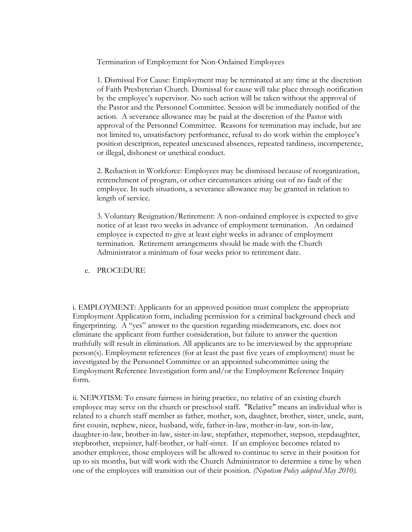Termination of Employment for Non-Ordained Employees

1. Dismissal For Cause: Employment may be terminated at any time at the discretion of Faith Presbyterian Church. Dismissal for cause will take place through notification by the employee's supervisor. No such action will be taken without the approval of the Pastor and the Personnel Committee. Session will be immediately notified of the action. A severance allowance may be paid at the discretion of the Pastor with approval of the Personnel Committee. Reasons for termination may include, but are not limited to, unsatisfactory performance, refusal to do work within the employee's position description, repeated unexcused absences, repeated tardiness, incompetence, or illegal, dishonest or unethical conduct.

2. Reduction in Workforce: Employees may be dismissed because of reorganization, retrenchment of program, or other circumstances arising out of no fault of the employee. In such situations, a severance allowance may be granted in relation to length of service.

3. Voluntary Resignation/Retirement: A non-ordained employee is expected to give notice of at least two weeks in advance of employment termination. An ordained employee is expected to give at least eight weeks in advance of employment termination. Retirement arrangements should be made with the Church Administrator a minimum of four weeks prior to retirement date.

### e. PROCEDURE

i. EMPLOYMENT: Applicants for an approved position must complete the appropriate Employment Application form, including permission for a criminal background check and fingerprinting. A "yes" answer to the question regarding misdemeanors, etc. does not eliminate the applicant from further consideration, but failure to answer the question truthfully will result in elimination. All applicants are to be interviewed by the appropriate person(s). Employment references (for at least the past five years of employment) must be investigated by the Personnel Committee or an appointed subcommittee using the Employment Reference Investigation form and/or the Employment Reference Inquiry form.

ii. NEPOTISM: To ensure fairness in hiring practice, no relative of an existing church employee may serve on the church or preschool staff. "Relative" means an individual who is related to a church staff member as father, mother, son, daughter, brother, sister, uncle, aunt, first cousin, nephew, niece, husband, wife, father-in-law, mother-in-law, son-in-law, daughter-in-law, brother-in-law, sister-in-law, stepfather, stepmother, stepson, stepdaughter, stepbrother, stepsister, half-brother, or half-sister. If an employee becomes related to another employee, those employees will be allowed to continue to serve in their position for up to six months, but will work with the Church Administrator to determine a time by when one of the employees will transition out of their position. *(Nepotism Policy adopted May 2010).*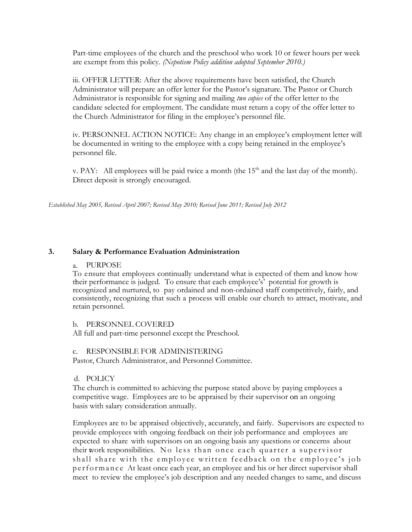Part-time employees of the church and the preschool who work 10 or fewer hours per week are exempt from this policy*. (Nepotism Policy addition adopted September 2010.)*

iii. OFFER LETTER: After the above requirements have been satisfied, the Church Administrator will prepare an offer letter for the Pastor's signature. The Pastor or Church Administrator is responsible for signing and mailing *two copies* of the offer letter to the candidate selected for employment. The candidate must return a copy of the offer letter to the Church Administrator for filing in the employee's personnel file.

iv. PERSONNEL ACTION NOTICE: Any change in an employee's employment letter will be documented in writing to the employee with a copy being retained in the employee's personnel file.

v. PAY: All employees will be paid twice a month (the  $15<sup>th</sup>$  and the last day of the month). Direct deposit is strongly encouraged.

*Established May 2005, Revised April 2007; Revised May 2010; Revised June 2011; Revised July 2012*

## **3. Salary & Performance Evaluation Administration**

### a. PURPOSE

To ensure that employees continually understand what is expected of them and know how their performance is judged. To ensure that each employee's' potential for growth is recognized and nurtured, to pay ordained and non-ordained staff competitively, fairly, and consistently, recognizing that such a process will enable our church to attract, motivate, and retain personnel.

### b. PERSONNEL COVERED

All full and part-time personnel except the Preschool.

### c. RESPONSIBLE FOR ADMINISTERING

Pastor, Church Administrator, and Personnel Committee.

### d. POLICY

The church is committed to achieving the purpose stated above by paying employees a competitive wage. Employees are to be appraised by their supervisor on an ongoing basis with salary consideration annually.

Employees are to be appraised objectively, accurately, and fairly. Supervisors are expected to provide employees with ongoing feedback on their job performance and employees are expected to share with supervisors on an ongoing basis any questions or concerns about their work responsibilities. No less than once each quarter a supervisor shall share with the employee written feedback on the employee's job p e r f o r m a n c e At least once each year, an employee and his or her direct supervisor shall meet to review the employee's job description and any needed changes to same, and discuss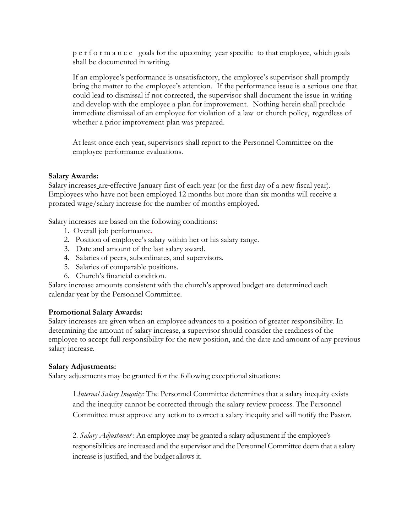p e r f o r m a n c e goals for the upcoming year specific to that employee, which goals shall be documented in writing.

If an employee's performance is unsatisfactory, the employee's supervisor shall promptly bring the matter to the employee's attention. If the performance issue is a serious one that could lead to dismissal if not corrected, the supervisor shall document the issue in writing and develop with the employee a plan for improvement. Nothing herein shall preclude immediate dismissal of an employee for violation of a law or church policy, regardless of whether a prior improvement plan was prepared.

At least once each year, supervisors shall report to the Personnel Committee on the employee performance evaluations.

## **Salary Awards:**

Salary increases are effective January first of each year (or the first day of a new fiscal year). Employees who have not been employed 12 months but more than six months will receive a prorated wage/salary increase for the number of months employed.

Salary increases are based on the following conditions:

- 1. Overall job performance.
- 2. Position of employee's salary within her or his salary range.
- 3. Date and amount of the last salary award.
- 4. Salaries of peers, subordinates, and supervisors.
- 5. Salaries of comparable positions.
- 6. Church's financial condition.

Salary increase amounts consistent with the church's approved budget are determined each calendar year by the Personnel Committee.

### **Promotional Salary Awards:**

Salary increases are given when an employee advances to a position of greater responsibility. In determining the amount of salary increase, a supervisor should consider the readiness of the employee to accept full responsibility for the new position, and the date and amount of any previous salary increase.

### **Salary Adjustments:**

Salary adjustments may be granted for the following exceptional situations:

1.*Internal Salary Inequity:* The Personnel Committee determines that a salary inequity exists and the inequity cannot be corrected through the salary review process. The Personnel Committee must approve any action to correct a salary inequity and will notify the Pastor.

2. *Salary Adjustment* : An employee may be granted a salary adjustment if the employee's responsibilities are increased and the supervisor and the Personnel Committee deem that a salary increase is justified, and the budget allows it.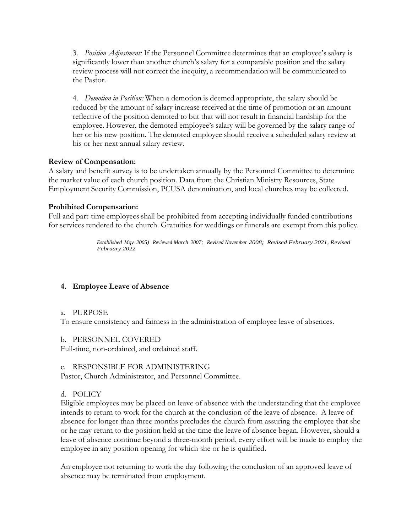3. *Position Adjustment:* If the Personnel Committee determines that an employee's salary is significantly lower than another church's salary for a comparable position and the salary review process will not correct the inequity, a recommendation will be communicated to the Pastor.

4. *Demotion in Position:* When a demotion is deemed appropriate, the salary should be reduced by the amount of salary increase received at the time of promotion or an amount reflective of the position demoted to but that will not result in financial hardship for the employee. However, the demoted employee's salary will be governed by the salary range of her or his new position. The demoted employee should receive a scheduled salary review at his or her next annual salary review.

# **Review of Compensation:**

A salary and benefit survey is to be undertaken annually by the Personnel Committee to determine the market value of each church position. Data from the Christian Ministry Resources, State Employment Security Commission, PCUSA denomination, and local churches may be collected.

# **Prohibited Compensation:**

Full and part-time employees shall be prohibited from accepting individually funded contributions for services rendered to the church. Gratuities for weddings or funerals are exempt from this policy.

> *Established Mqy 2005) Reviewed March 2007; Revised November 2008; Revised February 2021, Revised February 2022*

# **4. Employee Leave of Absence**

# a. PURPOSE

To ensure consistency and fairness in the administration of employee leave of absences.

# b. PERSONNEL COVERED

Full-time, non-ordained, and ordained staff.

# c. RESPONSIBLE FOR ADMINISTERING

Pastor, Church Administrator, and Personnel Committee.

# d. POLICY

Eligible employees may be placed on leave of absence with the understanding that the employee intends to return to work for the church at the conclusion of the leave of absence. A leave of absence for longer than three months precludes the church from assuring the employee that she or he may return to the position held at the time the leave of absence began. However, should a leave of absence continue beyond a three-month period, every effort will be made to employ the employee in any position opening for which she or he is qualified.

An employee not returning to work the day following the conclusion of an approved leave of absence may be terminated from employment.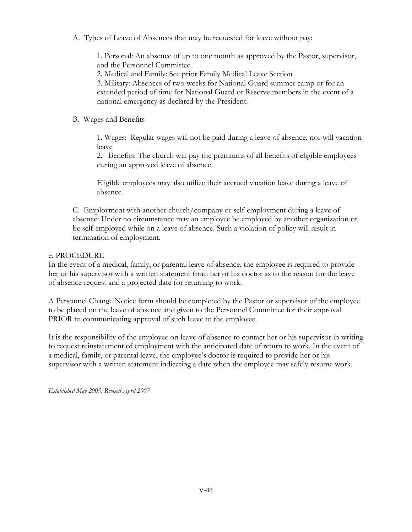A. Types of Leave of Absences that may be requested for leave without pay:

1. Personal: An absence of up to one month as approved by the Pastor, supervisor, and the Personnel Committee.

2. Medical and Family: See prior Family Medical Leave Section

3. Military: Absences of two weeks for National Guard summer camp or for an extended period of time for National Guard or Reserve members in the event of a national emergency as declared by the President.

B. Wages and Benefits

1. Wages: Regular wages will not be paid during a leave of absence, nor will vacation leave

2. Benefits: The church will pay the premiums of all benefits of eligible employees during an approved leave of absence.

Eligible employees may also utilize their accrued vacation leave during a leave of absence.

C. Employment with another church/company or self-employment during a leave of absence: Under no circumstance may an employee be employed by another organization or be self-employed while on a leave of absence. Such a violation of policy will result in termination of employment.

# e. PROCEDURE

In the event of a medical, family, or parental leave of absence, the employee is required to provide her or his supervisor with a written statement from her or his doctor as to the reason for the leave of absence request and a projected date for returning to work.

A Personnel Change Notice form should be completed by the Pastor or supervisor of the employee to be placed on the leave of absence and given to the Personnel Committee for their approval PRIOR to communicating approval of such leave to the employee.

It is the responsibility of the employee on leave of absence to contact her or his supervisor in writing to request reinstatement of employment with the anticipated date of return to work. In the event of a medical, family, or parental leave, the employee's doctor is required to provide her or his supervisor with a written statement indicating a date when the employee may safely resume work.

*Established May 2005, Revised April 2007*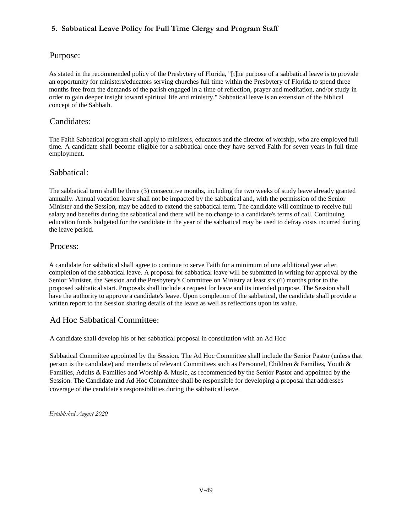# **5. Sabbatical Leave Policy for Full Time Clergy and Program Staff**

# Purpose:

As stated in the recommended policy of the Presbytery of Florida, "[t]he purpose of a sabbatical leave is to provide an opportunity for ministers/educators serving churches full time within the Presbytery of Florida to spend three months free from the demands of the parish engaged in a time of reflection, prayer and meditation, and/or study in order to gain deeper insight toward spiritual life and ministry." Sabbatical leave is an extension of the biblical concept of the Sabbath.

# Candidates:

The Faith Sabbatical program shall apply to ministers, educators and the director of worship, who are employed full time. A candidate shall become eligible for a sabbatical once they have served Faith for seven years in full time employment.

# Sabbatical:

The sabbatical term shall be three (3) consecutive months, including the two weeks of study leave already granted annually. Annual vacation leave shall not be impacted by the sabbatical and, with the permission of the Senior Minister and the Session, may be added to extend the sabbatical term. The candidate will continue to receive full salary and benefits during the sabbatical and there will be no change to a candidate's terms of call. Continuing education funds budgeted for the candidate in the year of the sabbatical may be used to defray costs incurred during the leave period.

## Process:

A candidate for sabbatical shall agree to continue to serve Faith for a minimum of one additional year after completion of the sabbatical leave. A proposal for sabbatical leave will be submitted in writing for approval by the Senior Minister, the Session and the Presbytery's Committee on Ministry at least six (6) months prior to the proposed sabbatical start. Proposals shall include a request for leave and its intended purpose. The Session shall have the authority to approve a candidate's leave. Upon completion of the sabbatical, the candidate shall provide a written report to the Session sharing details of the leave as well as reflections upon its value.

# Ad Hoc Sabbatical Committee:

A candidate shall develop his or her sabbatical proposal in consultation with an Ad Hoc

Sabbatical Committee appointed by the Session. The Ad Hoc Committee shall include the Senior Pastor (unless that person is the candidate) and members of relevant Committees such as Personnel, Children & Families, Youth & Families, Adults & Families and Worship & Music, as recommended by the Senior Pastor and appointed by the Session. The Candidate and Ad Hoc Committee shall be responsible for developing a proposal that addresses coverage of the candidate's responsibilities during the sabbatical leave.

*Established August 2020*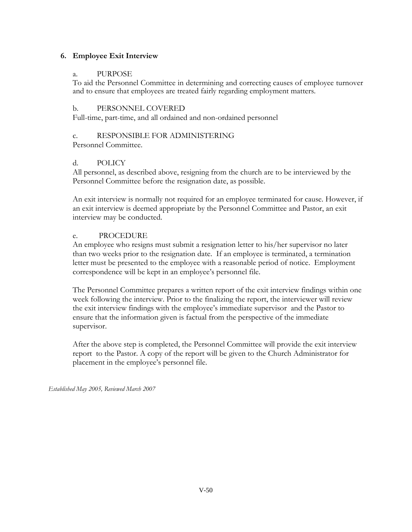# **6. Employee Exit Interview**

# a. PURPOSE

To aid the Personnel Committee in determining and correcting causes of employee turnover and to ensure that employees are treated fairly regarding employment matters.

# b. PERSONNEL COVERED

Full-time, part-time, and all ordained and non-ordained personnel

# c. RESPONSIBLE FOR ADMINISTERING

Personnel Committee.

# d. POLICY

All personnel, as described above, resigning from the church are to be interviewed by the Personnel Committee before the resignation date, as possible.

An exit interview is normally not required for an employee terminated for cause. However, if an exit interview is deemed appropriate by the Personnel Committee and Pastor, an exit interview may be conducted.

## e. PROCEDURE

An employee who resigns must submit a resignation letter to his/her supervisor no later than two weeks prior to the resignation date. If an employee is terminated, a termination letter must be presented to the employee with a reasonable period of notice. Employment correspondence will be kept in an employee's personnel file.

The Personnel Committee prepares a written report of the exit interview findings within one week following the interview. Prior to the finalizing the report, the interviewer will review the exit interview findings with the employee's immediate supervisor and the Pastor to ensure that the information given is factual from the perspective of the immediate supervisor.

After the above step is completed, the Personnel Committee will provide the exit interview report to the Pastor. A copy of the report will be given to the Church Administrator for placement in the employee's personnel file.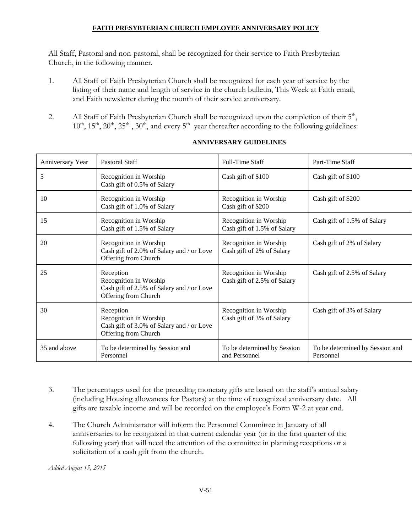# **FAITH PRESYBTERIAN CHURCH EMPLOYEE ANNIVERSARY POLICY**

All Staff, Pastoral and non-pastoral, shall be recognized for their service to Faith Presbyterian Church, in the following manner.

- 1. All Staff of Faith Presbyterian Church shall be recognized for each year of service by the listing of their name and length of service in the church bulletin, This Week at Faith email, and Faith newsletter during the month of their service anniversary.
- 2. All Staff of Faith Presbyterian Church shall be recognized upon the completion of their  $5<sup>th</sup>$ ,  $10^{th}$ ,  $15^{th}$ ,  $20^{th}$ ,  $25^{th}$ ,  $30^{th}$ , and every  $5^{th}$  year thereafter according to the following guidelines:

| Anniversary Year | Pastoral Staff                                                                                           | Full-Time Staff                                       | Part-Time Staff                              |
|------------------|----------------------------------------------------------------------------------------------------------|-------------------------------------------------------|----------------------------------------------|
| 5                | Recognition in Worship<br>Cash gift of 0.5% of Salary                                                    | Cash gift of \$100                                    | Cash gift of \$100                           |
| 10               | Recognition in Worship<br>Cash gift of 1.0% of Salary                                                    | Recognition in Worship<br>Cash gift of \$200          | Cash gift of \$200                           |
| 15               | Recognition in Worship<br>Cash gift of 1.5% of Salary                                                    | Recognition in Worship<br>Cash gift of 1.5% of Salary | Cash gift of 1.5% of Salary                  |
| 20               | Recognition in Worship<br>Cash gift of 2.0% of Salary and / or Love<br>Offering from Church              | Recognition in Worship<br>Cash gift of 2% of Salary   | Cash gift of 2% of Salary                    |
| 25               | Reception<br>Recognition in Worship<br>Cash gift of 2.5% of Salary and / or Love<br>Offering from Church | Recognition in Worship<br>Cash gift of 2.5% of Salary | Cash gift of 2.5% of Salary                  |
| 30               | Reception<br>Recognition in Worship<br>Cash gift of 3.0% of Salary and / or Love<br>Offering from Church | Recognition in Worship<br>Cash gift of 3% of Salary   | Cash gift of 3% of Salary                    |
| 35 and above     | To be determined by Session and<br>Personnel                                                             | To be determined by Session<br>and Personnel          | To be determined by Session and<br>Personnel |

# **ANNIVERSARY GUIDELINES**

- 3. The percentages used for the preceding monetary gifts are based on the staff's annual salary (including Housing allowances for Pastors) at the time of recognized anniversary date. All gifts are taxable income and will be recorded on the employee's Form W-2 at year end.
- 4. The Church Administrator will inform the Personnel Committee in January of all anniversaries to be recognized in that current calendar year (or in the first quarter of the following year) that will need the attention of the committee in planning receptions or a solicitation of a cash gift from the church.

*Added August 15, 2015*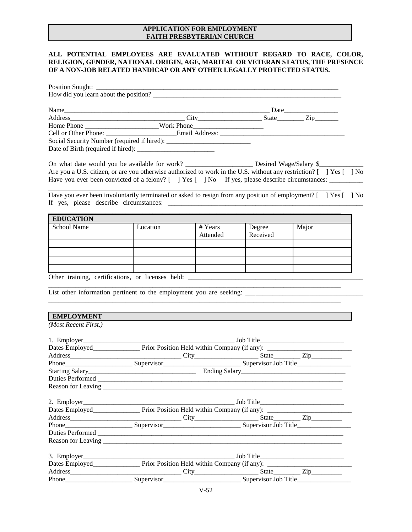### **APPLICATION FOR EMPLOYMENT FAITH PRESBYTERIAN CHURCH**

### **ALL POTENTIAL EMPLOYEES ARE EVALUATED WITHOUT REGARD TO RACE, COLOR, RELIGION, GENDER, NATIONAL ORIGIN, AGE, MARITAL OR VETERAN STATUS, THE PRESENCE OF A NON-JOB RELATED HANDICAP OR ANY OTHER LEGALLY PROTECTED STATUS.**

| Home Phone _____________________________Work Phone |  |
|----------------------------------------------------|--|
|                                                    |  |
|                                                    |  |
|                                                    |  |

|  |  |  |  | Are you a U.S. citizen, or are you otherwise authorized to work in the U.S. without any restriction? [ ] Yes [ ] No |  |
|--|--|--|--|---------------------------------------------------------------------------------------------------------------------|--|
|  |  |  |  | Have you ever been convicted of a felony? [ ] Yes [ ] No If yes, please describe circumstances:                     |  |

Have you ever been involuntarily terminated or asked to resign from any position of employment? [ ] Yes [ ] No If yes, please describe circumstances: \_\_\_\_\_\_\_\_\_\_\_\_\_\_\_\_\_\_\_\_\_\_\_\_\_\_\_\_\_\_\_\_\_\_\_\_\_\_\_\_\_\_\_\_\_\_\_\_\_\_\_\_\_\_\_\_\_\_

\_\_\_\_\_\_\_\_\_\_\_\_\_\_\_\_\_\_\_\_\_\_\_\_\_\_\_\_\_\_\_\_\_\_\_\_\_\_\_\_\_\_\_\_\_\_\_\_\_\_\_\_\_\_\_\_\_\_\_\_\_\_\_\_\_\_\_\_\_\_\_\_\_\_\_\_\_\_\_\_\_\_\_\_\_\_\_

\_\_\_\_\_\_\_\_\_\_\_\_\_\_\_\_\_\_\_\_\_\_\_\_\_\_\_\_\_\_\_\_\_\_\_\_\_\_\_\_\_\_\_\_\_\_\_\_\_\_\_\_\_\_\_\_\_\_\_\_\_\_\_\_\_\_\_\_\_\_\_\_\_\_\_\_\_\_\_\_\_\_\_\_\_\_\_

| <b>EDUCATION</b>                                  |          |          |                    |       |
|---------------------------------------------------|----------|----------|--------------------|-------|
| School Name                                       | Location | # Years  |                    | Major |
|                                                   |          | Attended | Degree<br>Received |       |
|                                                   |          |          |                    |       |
|                                                   |          |          |                    |       |
|                                                   |          |          |                    |       |
|                                                   |          |          |                    |       |
| Other training, certifications, or licenses held: |          |          |                    |       |

\_\_\_\_\_\_\_\_\_\_\_\_\_\_\_\_\_\_\_\_\_\_\_\_\_\_\_\_\_\_\_\_\_\_\_\_\_\_\_\_\_\_\_\_\_\_\_\_\_\_\_\_\_\_\_\_\_\_\_\_\_\_\_\_\_\_\_\_\_\_\_\_\_\_\_\_\_\_\_\_\_\_\_\_\_\_\_

 $\_$ 

List other information pertinent to the employment you are seeking:

### **EMPLOYMENT**

*(Most Recent First.)*

| Starting Salary<br><u>Ending Salary</u><br>Ending Salary<br>2014<br>2021 - 2022 - 2023<br>2023 - 2024 - 2024<br>2022 - 2024 - 2022 - 2024 - 2022 - 2022 - 2022 - 2022 - 2022 - 2022 - 2022 - 2022 - 2022 - 2022 - 2022 - 2022 - 2022 - 2022 - 2 |  |  |  |  |  |  |
|-------------------------------------------------------------------------------------------------------------------------------------------------------------------------------------------------------------------------------------------------|--|--|--|--|--|--|
|                                                                                                                                                                                                                                                 |  |  |  |  |  |  |
|                                                                                                                                                                                                                                                 |  |  |  |  |  |  |
|                                                                                                                                                                                                                                                 |  |  |  |  |  |  |
|                                                                                                                                                                                                                                                 |  |  |  |  |  |  |
|                                                                                                                                                                                                                                                 |  |  |  |  |  |  |
|                                                                                                                                                                                                                                                 |  |  |  |  |  |  |
|                                                                                                                                                                                                                                                 |  |  |  |  |  |  |
| Duties Performed                                                                                                                                                                                                                                |  |  |  |  |  |  |
|                                                                                                                                                                                                                                                 |  |  |  |  |  |  |
|                                                                                                                                                                                                                                                 |  |  |  |  |  |  |
|                                                                                                                                                                                                                                                 |  |  |  |  |  |  |
|                                                                                                                                                                                                                                                 |  |  |  |  |  |  |
|                                                                                                                                                                                                                                                 |  |  |  |  |  |  |
|                                                                                                                                                                                                                                                 |  |  |  |  |  |  |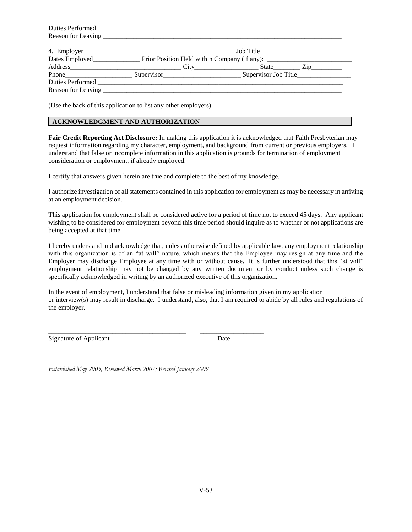| Duties Performed |  |  |  |  |
|------------------|--|--|--|--|
|                  |  |  |  |  |
|                  |  |  |  |  |

(Use the back of this application to list any other employers)

### **ACKNOWLEDGMENT AND AUTHORIZATION**

**Fair Credit Reporting Act Disclosure:** In making this application it is acknowledged that Faith Presbyterian may request information regarding my character, employment, and background from current or previous employers. I understand that false or incomplete information in this application is grounds for termination of employment consideration or employment, if already employed.

I certify that answers given herein are true and complete to the best of my knowledge.

I authorize investigation of all statements contained in this application for employment as may be necessary in arriving at an employment decision.

This application for employment shall be considered active for a period of time not to exceed 45 days. Any applicant wishing to be considered for employment beyond this time period should inquire as to whether or not applications are being accepted at that time.

I hereby understand and acknowledge that, unless otherwise defined by applicable law, any employment relationship with this organization is of an "at will" nature, which means that the Employee may resign at any time and the Employer may discharge Employee at any time with or without cause. It is further understood that this "at will" employment relationship may not be changed by any written document or by conduct unless such change is specifically acknowledged in writing by an authorized executive of this organization.

In the event of employment, I understand that false or misleading information given in my application or interview(s) may result in discharge. I understand, also, that I am required to abide by all rules and regulations of the employer.

Signature of Applicant Date

*Established May 2005, Reviewed March 2007; Revised January 2009*

\_\_\_\_\_\_\_\_\_\_\_\_\_\_\_\_\_\_\_\_\_\_\_\_\_\_\_\_\_\_\_\_\_\_\_\_\_\_\_\_\_ \_\_\_\_\_\_\_\_\_\_\_\_\_\_\_\_\_\_\_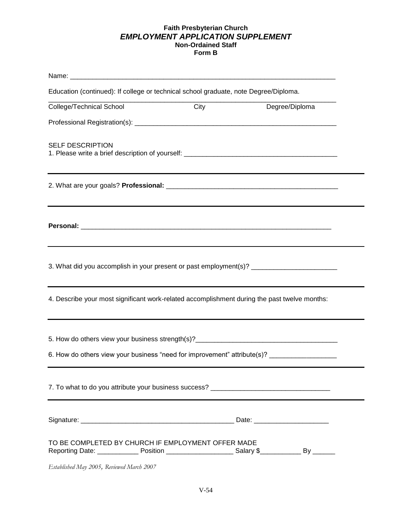### **Faith Presbyterian Church** *EMPLOYMENT APPLICATION SUPPLEMENT* **Non-Ordained Staff Form B**

| Education (continued): If college or technical school graduate, note Degree/Diploma.                                                                                             |      |                |
|----------------------------------------------------------------------------------------------------------------------------------------------------------------------------------|------|----------------|
| College/Technical School                                                                                                                                                         | City | Degree/Diploma |
|                                                                                                                                                                                  |      |                |
| <b>SELF DESCRIPTION</b><br>1. Please write a brief description of yourself: ________________________________                                                                     |      |                |
| ,我们也不会有什么。""我们的人,我们也不会有什么?""我们的人,我们也不会有什么?""我们的人,我们也不会有什么?""我们的人,我们也不会有什么?""我们的人                                                                                                 |      |                |
|                                                                                                                                                                                  |      |                |
| 3. What did you accomplish in your present or past employment(s)? _____________________                                                                                          |      |                |
| ,我们也不能在这里的时候,我们也不能在这里的时候,我们也不能会在这里的时候,我们也不能会在这里的时候,我们也不能会在这里的时候,我们也不能会在这里的时候,我们也<br>4. Describe your most significant work-related accomplishment during the past twelve months: |      |                |
| 6. How do others view your business "need for improvement" attribute(s)? __________________________                                                                              |      |                |
| 7. To what to do you attribute your business success? __________________________                                                                                                 |      |                |
|                                                                                                                                                                                  |      |                |
| TO BE COMPLETED BY CHURCH IF EMPLOYMENT OFFER MADE                                                                                                                               |      |                |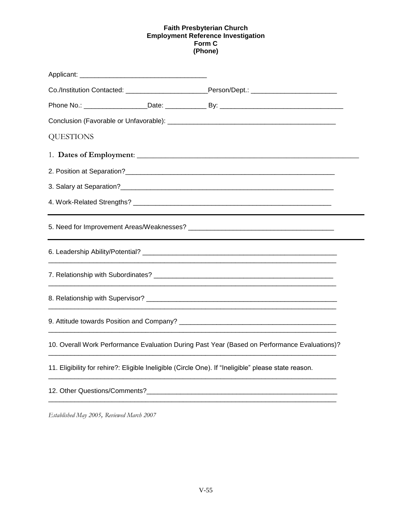### **Faith Presbyterian Church Employment Reference Investigation Form C (Phone)**

|                  | Co./Institution Contacted: _________________________________Person/Dept.: _________________________                                                                                                                           |  |
|------------------|-------------------------------------------------------------------------------------------------------------------------------------------------------------------------------------------------------------------------------|--|
|                  |                                                                                                                                                                                                                               |  |
|                  |                                                                                                                                                                                                                               |  |
| <b>QUESTIONS</b> |                                                                                                                                                                                                                               |  |
|                  |                                                                                                                                                                                                                               |  |
|                  |                                                                                                                                                                                                                               |  |
|                  |                                                                                                                                                                                                                               |  |
|                  |                                                                                                                                                                                                                               |  |
|                  |                                                                                                                                                                                                                               |  |
|                  |                                                                                                                                                                                                                               |  |
|                  |                                                                                                                                                                                                                               |  |
|                  |                                                                                                                                                                                                                               |  |
|                  |                                                                                                                                                                                                                               |  |
|                  | 10. Overall Work Performance Evaluation During Past Year (Based on Performance Evaluations)?                                                                                                                                  |  |
|                  | 11. Eligibility for rehire?: Eligible Ineligible (Circle One). If "Ineligible" please state reason.                                                                                                                           |  |
|                  | 12. Other Questions/Comments? The control of the control of the control of the control of the control of the control of the control of the control of the control of the control of the control of the control of the control |  |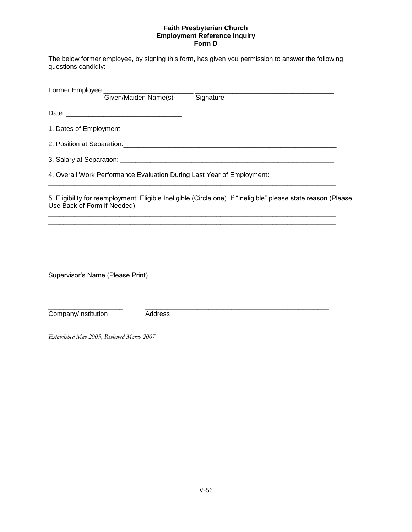### **Faith Presbyterian Church Employment Reference Inquiry Form D**

The below former employee, by signing this form, has given you permission to answer the following questions candidly:

| Former Employee _________________________________ |         |                                                                                                                |
|---------------------------------------------------|---------|----------------------------------------------------------------------------------------------------------------|
|                                                   |         | Given/Maiden Name(s) Signature                                                                                 |
|                                                   |         |                                                                                                                |
|                                                   |         |                                                                                                                |
|                                                   |         |                                                                                                                |
|                                                   |         |                                                                                                                |
|                                                   |         | 4. Overall Work Performance Evaluation During Last Year of Employment: ________________                        |
|                                                   |         | 5. Eligibility for reemployment: Eligible Ineligible (Circle one). If "Ineligible" please state reason (Please |
| Supervisor's Name (Please Print)                  |         |                                                                                                                |
| Company/Institution                               | Address |                                                                                                                |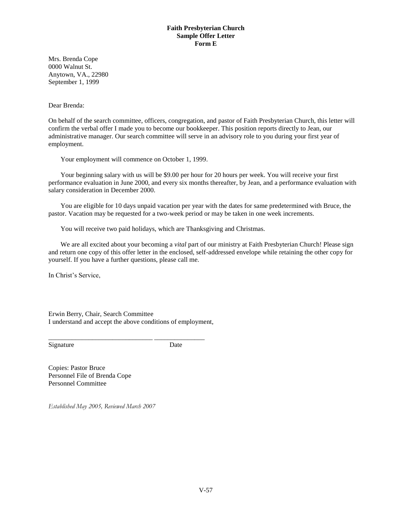### **Faith Presbyterian Church Sample Offer Letter Form E**

Mrs. Brenda Cope 0000 Walnut St. Anytown, VA., 22980 September 1, 1999

Dear Brenda:

On behalf of the search committee, officers, congregation, and pastor of Faith Presbyterian Church, this letter will confirm the verbal offer I made you to become our bookkeeper. This position reports directly to Jean, our administrative manager. Our search committee will serve in an advisory role to you during your first year of employment.

Your employment will commence on October 1, 1999.

Your beginning salary with us will be \$9.00 per hour for 20 hours per week. You will receive your first performance evaluation in June 2000, and every six months thereafter, by Jean, and a performance evaluation with salary consideration in December 2000.

You are eligible for 10 days unpaid vacation per year with the dates for same predetermined with Bruce, the pastor. Vacation may be requested for a two-week period or may be taken in one week increments.

You will receive two paid holidays, which are Thanksgiving and Christmas.

We are all excited about your becoming a *vital* part of our ministry at Faith Presbyterian Church! Please sign and return one copy of this offer letter in the enclosed, self-addressed envelope while retaining the other copy for yourself. If you have a further questions, please call me.

In Christ's Service,

Erwin Berry, Chair, Search Committee I understand and accept the above conditions of employment,

\_\_\_\_\_\_\_\_\_\_\_\_\_\_\_\_\_\_\_\_\_\_\_\_\_\_\_\_\_\_\_ \_\_\_\_\_\_\_\_\_\_\_\_\_\_\_

Signature Date

Copies: Pastor Bruce Personnel File of Brenda Cope Personnel Committee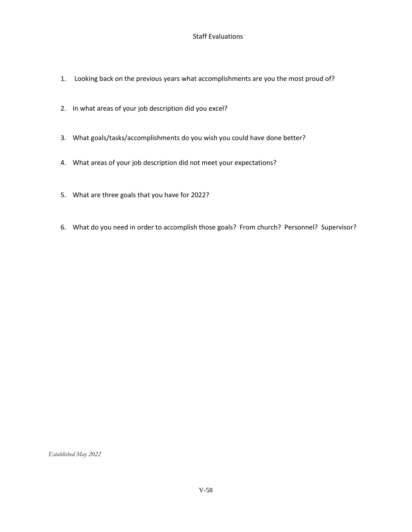### Staff Evaluations

- 1. Looking back on the previous years what accomplishments are you the most proud of?
- 2. In what areas of your job description did you excel?
- 3. What goals/tasks/accomplishments do you wish you could have done better?
- 4. What areas of your job description did not meet your expectations?
- 5. What are three goals that you have for 2022?
- 6. What do you need in order to accomplish those goals? From church? Personnel? Supervisor?

*Established May 2022*